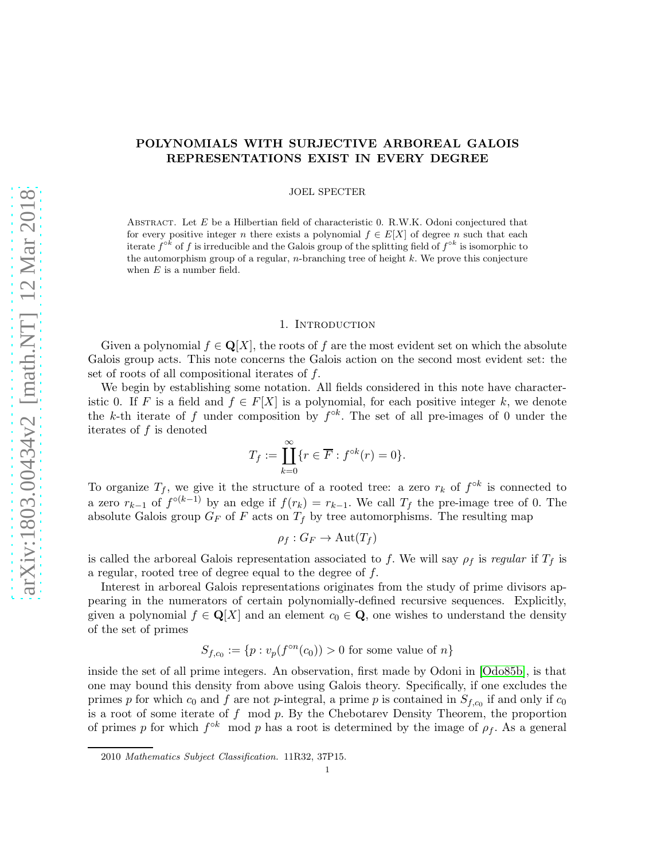# POLYNOMIALS WITH SURJECTIVE ARBOREAL GALOIS REPRESENTATIONS EXIST IN EVERY DEGREE

JOEL SPECTER

ABSTRACT. Let  $E$  be a Hilbertian field of characteristic 0. R.W.K. Odoni conjectured that for every positive integer n there exists a polynomial  $f \in E[X]$  of degree n such that each iterate  $f^{\circ k}$  of f is irreducible and the Galois group of the splitting field of  $f^{\circ k}$  is isomorphic to the automorphism group of a regular, *n*-branching tree of height  $k$ . We prove this conjecture when  $E$  is a number field.

# 1. INTRODUCTION

Given a polynomial  $f \in \mathbf{Q}[X]$ , the roots of f are the most evident set on which the absolute Galois group acts. This note concerns the Galois action on the second most evident set: the set of roots of all compositional iterates of f.

We begin by establishing some notation. All fields considered in this note have characteristic 0. If F is a field and  $f \in F[X]$  is a polynomial, for each positive integer k, we denote the k-th iterate of f under composition by  $f^{\circ k}$ . The set of all pre-images of 0 under the iterates of  $f$  is denoted

$$
T_f := \coprod_{k=0}^{\infty} \{r \in \overline{F} : f^{\circ k}(r) = 0\}.
$$

To organize  $T_f$ , we give it the structure of a rooted tree: a zero  $r_k$  of  $f^{\circ k}$  is connected to a zero  $r_{k-1}$  of  $f^{\circ(k-1)}$  by an edge if  $f(r_k) = r_{k-1}$ . We call  $T_f$  the pre-image tree of 0. The absolute Galois group  $G_F$  of F acts on  $T_f$  by tree automorphisms. The resulting map

$$
\rho_f: G_F \to \mathrm{Aut}(T_f)
$$

is called the arboreal Galois representation associated to f. We will say  $\rho_f$  is *regular* if  $T_f$  is a regular, rooted tree of degree equal to the degree of f.

Interest in arboreal Galois representations originates from the study of prime divisors appearing in the numerators of certain polynomially-defined recursive sequences. Explicitly, given a polynomial  $f \in \mathbf{Q}[X]$  and an element  $c_0 \in \mathbf{Q}$ , one wishes to understand the density of the set of primes

$$
S_{f,c_0} := \{ p : v_p(f^{\circ n}(c_0)) > 0 \text{ for some value of } n \}
$$

inside the set of all prime integers. An observation, first made by Odoni in [\[Odo85b\]](#page-17-0), is that one may bound this density from above using Galois theory. Specifically, if one excludes the primes p for which  $c_0$  and f are not p-integral, a prime p is contained in  $S_{f,c_0}$  if and only if  $c_0$ is a root of some iterate of  $f \mod p$ . By the Chebotarev Density Theorem, the proportion of primes p for which  $f^{\circ k}$  mod p has a root is determined by the image of  $\rho_f$ . As a general

<sup>2010</sup> Mathematics Subject Classification. 11R32, 37P15.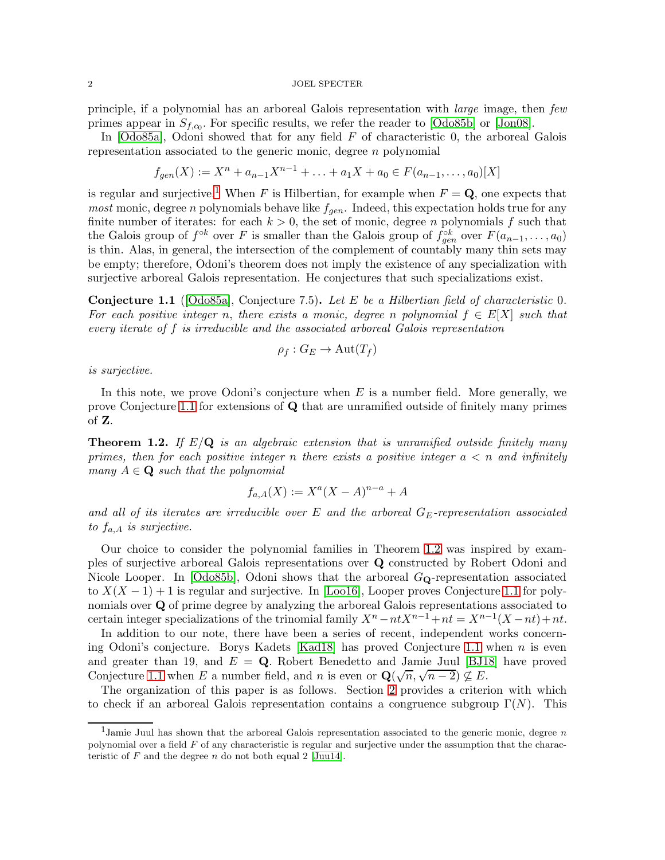#### $2$  JOEL SPECTER  $\,$

principle, if a polynomial has an arboreal Galois representation with *large* image, then *few* primes appear in  $S_{f,c_0}$ . For specific results, we refer the reader to [\[Odo85b\]](#page-17-0) or [\[Jon08\]](#page-17-1).

In [\[Odo85a\]](#page-17-2), Odoni showed that for any field  $F$  of characteristic 0, the arboreal Galois representation associated to the generic monic, degree n polynomial

$$
f_{gen}(X) := X^n + a_{n-1}X^{n-1} + \ldots + a_1X + a_0 \in F(a_{n-1}, \ldots, a_0)[X]
$$

is regular and surjective.<sup>[1](#page-1-0)</sup> When F is Hilbertian, for example when  $F = \mathbf{Q}$ , one expects that *most* monic, degree *n* polynomials behave like  $f_{gen}$ . Indeed, this expectation holds true for any finite number of iterates: for each  $k > 0$ , the set of monic, degree n polynomials f such that the Galois group of  $f^{\circ k}$  over F is smaller than the Galois group of  $f_{gen}^{\circ k}$  over  $F(a_{n-1},...,a_0)$ is thin. Alas, in general, the intersection of the complement of countably many thin sets may be empty; therefore, Odoni's theorem does not imply the existence of any specialization with surjective arboreal Galois representation. He conjectures that such specializations exist.

<span id="page-1-1"></span>Conjecture 1.1 ([\[Odo85a\]](#page-17-2), Conjecture 7.5). *Let* E *be a Hilbertian field of characteristic* 0*.* For each positive integer n, there exists a monic, degree n polynomial  $f \in E[X]$  such that *every iterate of* f *is irreducible and the associated arboreal Galois representation*

$$
\rho_f: G_E \to \mathrm{Aut}(T_f)
$$

*is surjective.*

In this note, we prove Odoni's conjecture when  $E$  is a number field. More generally, we prove Conjecture [1.1](#page-1-1) for extensions of Q that are unramified outside of finitely many primes of Z.

<span id="page-1-2"></span>Theorem 1.2. *If* E/Q *is an algebraic extension that is unramified outside finitely many primes, then for each positive integer* n *there exists a positive integer* a < n *and infinitely many*  $A \in \mathbf{Q}$  *such that the polynomial* 

$$
f_{a,A}(X) := X^a (X - A)^{n-a} + A
$$

and all of its iterates are irreducible over E and the arboreal  $G_E$ -representation associated *to* fa,A *is surjective.*

Our choice to consider the polynomial families in Theorem [1.2](#page-1-2) was inspired by examples of surjective arboreal Galois representations over Q constructed by Robert Odoni and Nicole Looper. In  $[Od 085b]$ , Odoni shows that the arboreal  $G_{\mathbf{Q}}$ -representation associated to  $X(X-1)+1$  is regular and surjective. In [\[Loo16\]](#page-17-3), Looper proves Conjecture [1.1](#page-1-1) for polynomials over Q of prime degree by analyzing the arboreal Galois representations associated to certain integer specializations of the trinomial family  $X^n - ntX^{n-1} + nt = X^{n-1}(X - nt) + nt$ .

In addition to our note, there have been a series of recent, independent works concerning Odoni's conjecture. Borys Kadets [\[Kad18\]](#page-17-4) has proved Conjecture [1.1](#page-1-1) when n is even and greater than 19, and  $E = Q$ . Robert Benedetto and Jamie Juul [\[BJ18\]](#page-17-5) have proved Conjecture [1.1](#page-1-1) when E a number field, and n is even or  $\mathbf{Q}(\sqrt{n}, \sqrt{n-2}) \nsubseteq E$ .

The organization of this paper is as follows. Section [2](#page-2-0) provides a criterion with which to check if an arboreal Galois representation contains a congruence subgroup  $\Gamma(N)$ . This

<span id="page-1-0"></span><sup>&</sup>lt;sup>1</sup>Jamie Juul has shown that the arboreal Galois representation associated to the generic monic, degree  $n$ polynomial over a field  $F$  of any characteristic is regular and surjective under the assumption that the characteristic of  $F$  and the degree  $n$  do not both equal 2 [\[Juu14\]](#page-17-6).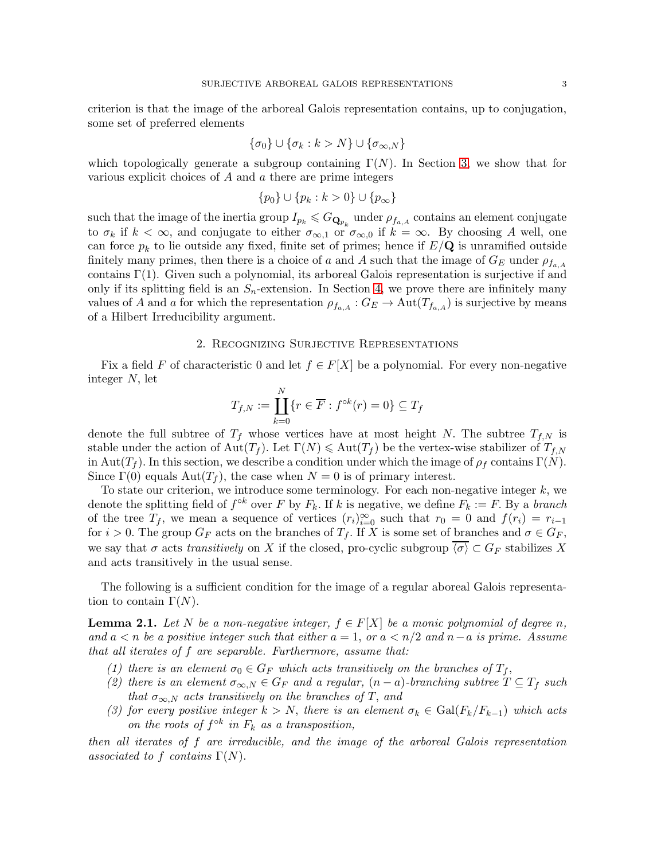criterion is that the image of the arboreal Galois representation contains, up to conjugation, some set of preferred elements

$$
\{\sigma_0\} \cup \{\sigma_k : k > N\} \cup \{\sigma_{\infty,N}\}\
$$

which topologically generate a subgroup containing  $\Gamma(N)$ . In Section [3,](#page-4-0) we show that for various explicit choices of A and a there are prime integers

$$
\{p_0\} \cup \{p_k : k > 0\} \cup \{p_\infty\}
$$

such that the image of the inertia group  $I_{p_k} \leqslant G_{\mathbf{Q}_{p_k}}$  under  $\rho_{f_{a,A}}$  contains an element conjugate to  $\sigma_k$  if  $k < \infty$ , and conjugate to either  $\sigma_{\infty,1}$  or  $\sigma_{\infty,0}$  if  $k = \infty$ . By choosing A well, one can force  $p_k$  to lie outside any fixed, finite set of primes; hence if  $E/\mathbf{Q}$  is unramified outside finitely many primes, then there is a choice of a and A such that the image of  $G_E$  under  $\rho_{f_{a,A}}$ contains  $\Gamma(1)$ . Given such a polynomial, its arboreal Galois representation is surjective if and only if its splitting field is an  $S_n$ -extension. In Section [4,](#page-13-0) we prove there are infinitely many values of A and a for which the representation  $\rho_{f_{a,A}} : G_E \to \text{Aut}(T_{f_{a,A}})$  is surjective by means of a Hilbert Irreducibility argument.

#### 2. Recognizing Surjective Representations

<span id="page-2-0"></span>Fix a field F of characteristic 0 and let  $f \in F[X]$  be a polynomial. For every non-negative integer N, let

$$
T_{f,N} := \coprod_{k=0}^{N} \{r \in \overline{F} : f^{\circ k}(r) = 0\} \subseteq T_f
$$

denote the full subtree of  $T_f$  whose vertices have at most height N. The subtree  $T_{f,N}$  is stable under the action of  $\text{Aut}(T_f)$ . Let  $\Gamma(N) \leq \text{Aut}(T_f)$  be the vertex-wise stabilizer of  $T_{f,N}$ in Aut( $T_f$ ). In this section, we describe a condition under which the image of  $\rho_f$  contains  $\Gamma(N)$ . Since  $\Gamma(0)$  equals  $\text{Aut}(T_f)$ , the case when  $N = 0$  is of primary interest.

To state our criterion, we introduce some terminology. For each non-negative integer  $k$ , we denote the splitting field of  $f^{\circ k}$  over F by  $F_k$ . If k is negative, we define  $F_k := F$ . By a *branch* of the tree  $T_f$ , we mean a sequence of vertices  $(r_i)_{i=0}^{\infty}$  such that  $r_0 = 0$  and  $f(r_i) = r_{i-1}$ for  $i > 0$ . The group  $G_F$  acts on the branches of  $T_f$ . If X is some set of branches and  $\sigma \in G_F$ , we say that  $\sigma$  acts *transitively* on X if the closed, pro-cyclic subgroup  $\langle \sigma \rangle \subset G_F$  stabilizes X and acts transitively in the usual sense.

The following is a sufficient condition for the image of a regular aboreal Galois representation to contain  $\Gamma(N)$ .

<span id="page-2-3"></span>**Lemma 2.1.** Let N be a non-negative integer,  $f \in F[X]$  be a monic polynomial of degree n, *and* a < n *be a positive integer such that either* a = 1, *or* a < n/2 *and* n−a *is prime. Assume that all iterates of* f *are separable. Furthermore, assume that:*

- <span id="page-2-4"></span><span id="page-2-1"></span>*(1) there is an element*  $\sigma_0 \in G_F$  *which acts transitively on the branches of*  $T_f$ ,
- (2) there is an element  $\sigma_{\infty,N} \in G_F$  and a regular,  $(n-a)$ -branching subtree  $T \subseteq T_f$  such *that*  $\sigma_{\infty,N}$  *acts transitively on the branches of* T, *and*
- <span id="page-2-2"></span>*(3) for every positive integer*  $k > N$ , *there is an element*  $\sigma_k \in \text{Gal}(F_k/F_{k-1})$  *which acts on the roots of*  $f^{\circ k}$  *in*  $F_k$  *as a transposition,*

*then all iterates of* f *are irreducible, and the image of the arboreal Galois representation associated to f contains*  $\Gamma(N)$ .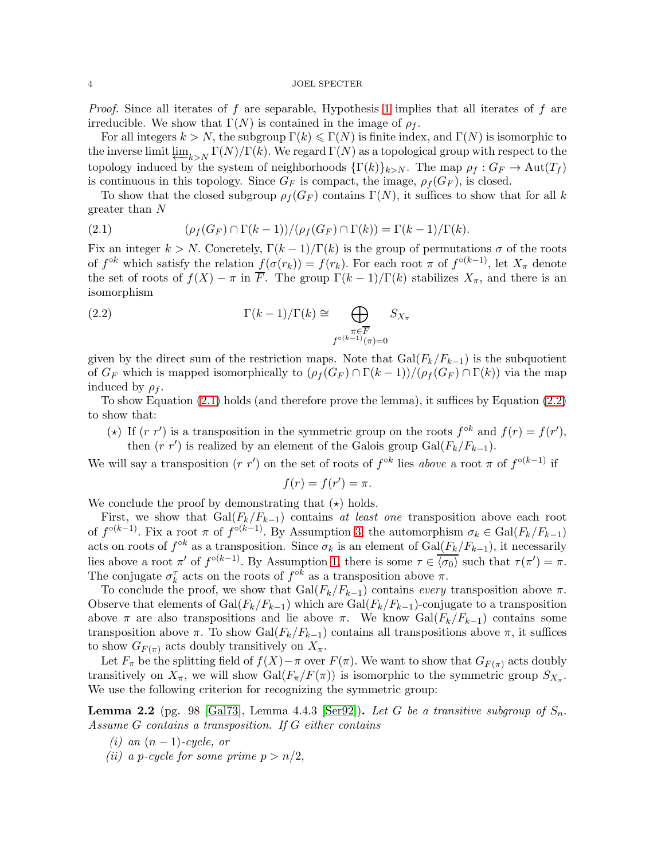#### 4 JOEL SPECTER

*Proof.* Since all iterates of f are separable, Hypothesis [1](#page-2-1) implies that all iterates of f are irreducible. We show that  $\Gamma(N)$  is contained in the image of  $\rho_f$ .

For all integers  $k > N$ , the subgroup  $\Gamma(k) \leq \Gamma(N)$  is finite index, and  $\Gamma(N)$  is isomorphic to the inverse limit  $\varprojlim_{k\to N} \Gamma(N)/\Gamma(k)$ . We regard  $\Gamma(N)$  as a topological group with respect to the topology induced by the system of neighborhoods  $\{\Gamma(k)\}_{k>N}$ . The map  $\rho_f : G_F \to \text{Aut}(T_f)$ is continuous in this topology. Since  $G_F$  is compact, the image,  $\rho_f(G_F)$ , is closed.

To show that the closed subgroup  $\rho_f(G_F)$  contains  $\Gamma(N)$ , it suffices to show that for all k greater than N

<span id="page-3-0"></span>(2.1) 
$$
(\rho_f(G_F) \cap \Gamma(k-1))/(\rho_f(G_F) \cap \Gamma(k)) = \Gamma(k-1)/\Gamma(k).
$$

Fix an integer  $k > N$ . Concretely,  $\Gamma(k-1)/\Gamma(k)$  is the group of permutations  $\sigma$  of the roots of  $f^{\circ k}$  which satisfy the relation  $f(\sigma(r_k)) = f(r_k)$ . For each root  $\pi$  of  $f^{\circ (k-1)}$ , let  $X_{\pi}$  denote the set of roots of  $f(X) - \pi$  in  $\overline{F}$ . The group  $\Gamma(k-1)/\Gamma(k)$  stabilizes  $X_{\pi}$ , and there is an isomorphism

<span id="page-3-1"></span>(2.2) 
$$
\Gamma(k-1)/\Gamma(k) \cong \bigoplus_{\substack{\pi \in \overline{F} \\ f^{\circ(k-1)}(\pi)=0}} S_{X_{\pi}}
$$

given by the direct sum of the restriction maps. Note that  $Gal(F_k/F_{k-1})$  is the subquotient of  $G_F$  which is mapped isomorphically to  $(\rho_f(G_F) \cap \Gamma(k-1))/(\rho_f(G_F) \cap \Gamma(k))$  via the map induced by  $\rho_f$ .

To show Equation [\(2.1\)](#page-3-0) holds (and therefore prove the lemma), it suffices by Equation [\(2.2\)](#page-3-1) to show that:

(\*) If  $(r r')$  is a transposition in the symmetric group on the roots  $f^{\circ k}$  and  $f(r) = f(r')$ , then  $(r r')$  is realized by an element of the Galois group  $Gal(F_k/F_{k-1})$ .

We will say a transposition  $(r r')$  on the set of roots of  $f^{\circ k}$  lies *above* a root  $\pi$  of  $f^{\circ (k-1)}$  if

$$
f(r) = f(r') = \pi.
$$

We conclude the proof by demonstrating that  $(\star)$  holds.

First, we show that  $Gal(F_k/F_{k-1})$  contains *at least one* transposition above each root of  $f^{\circ(k-1)}$ . Fix a root  $\pi$  of  $f^{\circ(k-1)}$ . By Assumption [3,](#page-2-2) the automorphism  $\sigma_k \in \text{Gal}(F_k/F_{k-1})$ acts on roots of  $f^{\circ k}$  as a transposition. Since  $\sigma_k$  is an element of  $Gal(F_k/F_{k-1}),$  it necessarily lies above a root  $\pi'$  of  $f^{\circ(k-1)}$ . By Assumption [1,](#page-2-1) there is some  $\tau \in \overline{\langle \sigma_0 \rangle}$  such that  $\tau(\pi') = \pi$ . The conjugate  $\sigma_k^{\tau}$  acts on the roots of  $f^{\circ k}$  as a transposition above  $\pi$ .

To conclude the proof, we show that  $Gal(F_k/F_{k-1})$  contains *every* transposition above  $\pi$ . Observe that elements of  $Gal(F_k/F_{k-1})$  which are  $Gal(F_k/F_{k-1})$ -conjugate to a transposition above  $\pi$  are also transpositions and lie above  $\pi$ . We know Gal( $F_k/F_{k-1}$ ) contains some transposition above  $\pi$ . To show Gal( $F_k/F_{k-1}$ ) contains all transpositions above  $\pi$ , it suffices to show  $G_{F(\pi)}$  acts doubly transitively on  $X_{\pi}$ .

Let  $F_{\pi}$  be the splitting field of  $f(X)-\pi$  over  $F(\pi)$ . We want to show that  $G_{F(\pi)}$  acts doubly transitively on  $X_{\pi}$ , we will show  $Gal(F_{\pi}/F(\pi))$  is isomorphic to the symmetric group  $S_{X_{\pi}}$ . We use the following criterion for recognizing the symmetric group:

<span id="page-3-2"></span>**Lemma 2.2** (pg. 98 [\[Gal73\]](#page-17-7), Lemma 4.4.3 [\[Ser92\]](#page-17-8)). Let G be a transitive subgroup of  $S_n$ . *Assume* G *contains a transposition. If* G *either contains*

- $(i)$  an  $(n-1)$ *-cycle, or*
- *(ii)* a *p-cycle for some prime*  $p > n/2$ ,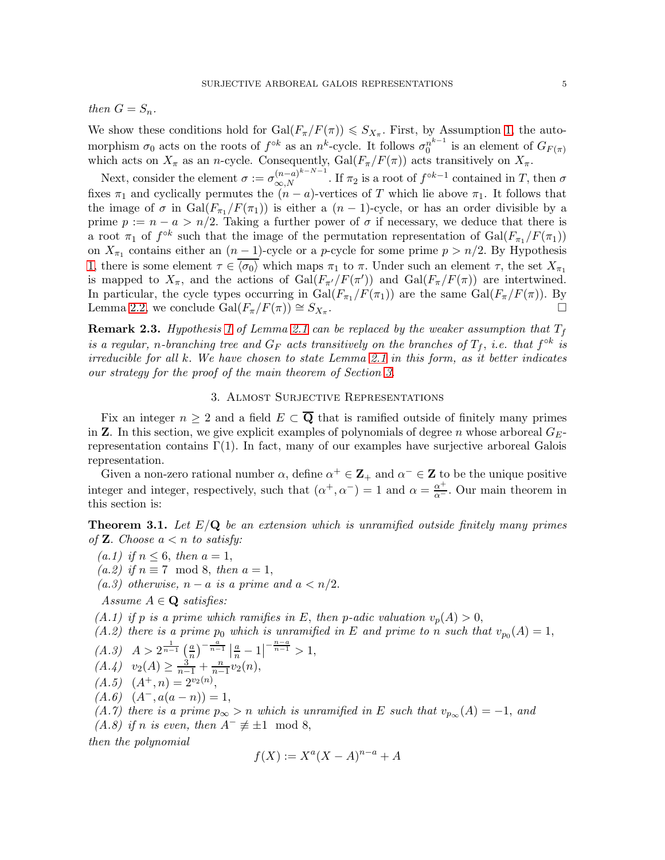*then*  $G = S_n$ *.* 

We show these conditions hold for  $Gal(F_{\pi}/F(\pi)) \leqslant S_{X_{\pi}}$ . First, by Assumption [1,](#page-2-1) the automorphism  $\sigma_0$  acts on the roots of  $f^{\circ k}$  as an  $n^k$ -cycle. It follows  $\sigma_0^{n^{k-1}}$  $n^{n-1}$  is an element of  $G_{F(\pi)}$ which acts on  $X_{\pi}$  as an *n*-cycle. Consequently,  $Gal(F_{\pi}/F(\pi))$  acts transitively on  $X_{\pi}$ .

Next, consider the element  $\sigma := \sigma_{\infty,N}^{(n-a)^{k-N-1}}$ . If  $\pi_2$  is a root of  $f^{\circ k-1}$  contained in T, then  $\sigma$ fixes  $\pi_1$  and cyclically permutes the  $(n - a)$ -vertices of T which lie above  $\pi_1$ . It follows that the image of  $\sigma$  in  $Gal(F_{\pi_1}/F(\pi_1))$  is either a  $(n-1)$ -cycle, or has an order divisible by a prime  $p := n - a > n/2$ . Taking a further power of  $\sigma$  if necessary, we deduce that there is a root  $\pi_1$  of  $f^{\circ k}$  such that the image of the permutation representation of  $Gal(F_{\pi_1}/F(\pi_1))$ on  $X_{\pi_1}$  contains either an  $(n-1)$ -cycle or a *p*-cycle for some prime  $p > n/2$ . By Hypothesis [1,](#page-2-1) there is some element  $\tau \in \overline{\langle \sigma_0 \rangle}$  which maps  $\pi_1$  to  $\pi$ . Under such an element  $\tau$ , the set  $X_{\pi_1}$ is mapped to  $X_{\pi}$ , and the actions of  $Gal(F_{\pi}/F(\pi'))$  and  $Gal(F_{\pi}/F(\pi))$  are intertwined. In particular, the cycle types occurring in  $Gal(F_{\pi_1}/F(\pi_1))$  are the same  $Gal(F_{\pi}/F(\pi))$ . By Lemma [2.2,](#page-3-2) we conclude  $Gal(F_{\pi}/F(\pi)) \cong S_{X_{\pi}}$ . .

**Remark 2.3.** *Hypothesis* [1](#page-2-1) *of Lemma [2.1](#page-2-3) can be replaced by the weaker assumption that*  $T_f$ *is a regular, n-branching tree and*  $G_F$  *acts transitively on the branches of*  $T_f$ *, i.e. that*  $f^{\circ k}$  *is irreducible for all* k. *We have chosen to state Lemma [2.1](#page-2-3) in this form, as it better indicates our strategy for the proof of the main theorem of Section [3.](#page-4-0)*

# 3. Almost Surjective Representations

<span id="page-4-0"></span>Fix an integer  $n \geq 2$  and a field  $E \subset \overline{Q}$  that is ramified outside of finitely many primes in **Z**. In this section, we give explicit examples of polynomials of degree n whose arboreal  $G_{E}$ representation contains  $\Gamma(1)$ . In fact, many of our examples have surjective arboreal Galois representation.

Given a non-zero rational number  $\alpha$ , define  $\alpha^+ \in \mathbb{Z}_+$  and  $\alpha^- \in \mathbb{Z}$  to be the unique positive integer and integer, respectively, such that  $(\alpha^+, \alpha^-) = 1$  and  $\alpha = \frac{\alpha^+}{\alpha^-}$ . Our main theorem in this section is:

<span id="page-4-5"></span>Theorem 3.1. *Let* E/Q *be an extension which is unramified outside finitely many primes of* **Z**. *Choose*  $a < n$  *to satisfy:* 

- <span id="page-4-12"></span><span id="page-4-3"></span>*(a.1) if*  $n \leq 6$ *, then*  $a = 1$ *,*
- <span id="page-4-4"></span> $(a.2)$  *if*  $n \equiv 7 \mod 8$ , *then*  $a = 1$ ,
- *(a.3) otherwise,*  $n a$  *is a prime and*  $a < n/2$ .

<span id="page-4-1"></span>*Assume*  $A \in \mathbf{Q}$  *satisfies:* 

<span id="page-4-6"></span>*(A.1) if* p *is a prime which ramifies in* E, *then* p-adic valuation  $v_p(A) > 0$ ,

<span id="page-4-8"></span>(A.2) there is a prime 
$$
p_0
$$
 which is unramified in E and prime to n such that  $v_{p_0}(A) = 1$ ,

<span id="page-4-10"></span>
$$
(A.3) \quad A > 2^{\frac{1}{n-1}} \left( \frac{a}{n} \right)^{-\frac{a}{n-1}} \left| \frac{a}{n} - 1 \right|^{-\frac{n-a}{n-1}} > 1,
$$
  

$$
(A \quad B \quad \text{and} \quad A > \frac{3}{n} + \frac{n}{n-2} \left( n \right).
$$

<span id="page-4-11"></span>
$$
(A.4) \quad v_2(A) \ge \frac{3}{n-1} + \frac{n}{n-1} v_2(n),
$$

- <span id="page-4-9"></span> $(A.5)$   $(A^+, n) = 2^{v_2(n)},$
- <span id="page-4-7"></span> $(A.6)$   $(A^-, a(a - n)) = 1$ ,

<span id="page-4-2"></span>*(A.7) there is a prime*  $p_{\infty} > n$  *which is unramified in* E *such that*  $v_{p_{\infty}}(A) = -1$ , *and* 

*(A.8) if n is even, then*  $A^- \not\equiv \pm 1 \mod 8$ ,

*then the polynomial*

$$
f(X) := X^a (X - A)^{n-a} + A
$$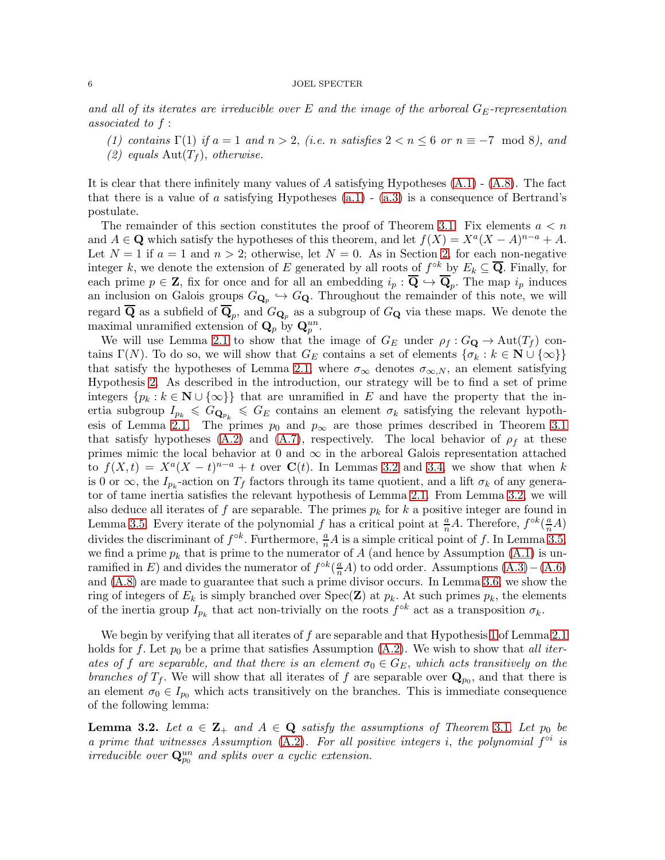#### $6$  JOEL SPECTER  $\,$

*and all of its iterates are irreducible over* E *and the image of the arboreal* GE*-representation associated to* f :

(1) contains  $\Gamma(1)$  *if*  $a = 1$  *and*  $n > 2$ , (*i.e.* n *satisfies*  $2 < n \leq 6$  *or*  $n \equiv -7 \mod 8$ *), and*  $(2)$  equals  $Aut(T_f)$ , *otherwise.* 

It is clear that there infinitely many values of A satisfying Hypotheses  $(A.1)$  -  $(A.8)$ . The fact that there is a value of a satisfying Hypotheses  $(a.1)$  -  $(a.3)$  is a consequence of Bertrand's postulate.

The remainder of this section constitutes the proof of Theorem [3.1.](#page-4-5) Fix elements  $a < n$ and  $A \in \mathbf{Q}$  which satisfy the hypotheses of this theorem, and let  $f(X) = X^a(X - A)^{n-a} + A$ . Let  $N = 1$  if  $a = 1$  and  $n > 2$ ; otherwise, let  $N = 0$ . As in Section [2,](#page-2-0) for each non-negative integer k, we denote the extension of E generated by all roots of  $f^{\circ k}$  by  $E_k \subseteq \overline{\mathbf{Q}}$ . Finally, for each prime  $p \in \mathbf{Z}$ , fix for once and for all an embedding  $i_p : \mathbf{Q} \to \mathbf{Q}_p$ . The map  $i_p$  induces an inclusion on Galois groups  $G_{\mathbf{Q}_p} \hookrightarrow G_{\mathbf{Q}}$ . Throughout the remainder of this note, we will regard Q as a subfield of  $\mathbf{Q}_p$ , and  $G_{\mathbf{Q}_p}$  as a subgroup of  $G_{\mathbf{Q}}$  via these maps. We denote the maximal unramified extension of  $\mathbf{Q}_p$  by  $\mathbf{Q}_p^{un}$ .

We will use Lemma [2.1](#page-2-3) to show that the image of  $G_E$  under  $\rho_f : G_{\mathbf{Q}} \to \text{Aut}(T_f)$  contains Γ(N). To do so, we will show that  $G_E$  contains a set of elements  $\{\sigma_k : k \in \mathbb{N} \cup \{\infty\}\}\$ that satisfy the hypotheses of Lemma [2.1,](#page-2-3) where  $\sigma_{\infty}$  denotes  $\sigma_{\infty,N}$ , an element satisfying Hypothesis [2.](#page-2-4) As described in the introduction, our strategy will be to find a set of prime integers  $\{p_k : k \in \mathbb{N} \cup \{\infty\}\}\$  that are unramified in E and have the property that the inertia subgroup  $I_{p_k} \leqslant G_{\mathbf{Q}_{p_k}} \leqslant G_E$  contains an element  $\sigma_k$  satisfying the relevant hypoth-esis of Lemma [2.1.](#page-2-3) The primes  $p_0$  and  $p_\infty$  are those primes described in Theorem [3.1](#page-4-5) that satisfy hypotheses [\(A.2\)](#page-4-6) and [\(A.7\)](#page-4-7), respectively. The local behavior of  $\rho_f$  at these primes mimic the local behavior at 0 and  $\infty$  in the arboreal Galois representation attached to  $f(X,t) = X^a(X-t)^{n-a} + t$  over  $\mathbf{C}(t)$ . In Lemmas [3.2](#page-5-0) and [3.4,](#page-6-0) we show that when k is 0 or  $\infty$ , the  $I_{p_k}$ -action on  $T_f$  factors through its tame quotient, and a lift  $\sigma_k$  of any generator of tame inertia satisfies the relevant hypothesis of Lemma [2.1.](#page-2-3) From Lemma [3.2,](#page-5-0) we will also deduce all iterates of f are separable. The primes  $p_k$  for k a positive integer are found in Lemma [3.5.](#page-8-0) Every iterate of the polynomial f has a critical point at  $\frac{a}{n}A$ . Therefore,  $f^{\circ k}(\frac{a}{n}A)$ divides the discriminant of  $f^{\circ k}$ . Furthermore,  $\frac{a}{n}A$  is a simple critical point of f. In Lemma [3.5,](#page-8-0) we find a prime  $p_k$  that is prime to the numerator of A (and hence by Assumption [\(A.1\)](#page-4-1) is unramified in E) and divides the numerator of  $f^{\circ k}(\frac{a}{n}A)$  to odd order. Assumptions  $(A.3) - (A.6)$  $(A.3) - (A.6)$ and [\(A.8\)](#page-4-2) are made to guarantee that such a prime divisor occurs. In Lemma [3.6,](#page-11-0) we show the ring of integers of  $E_k$  is simply branched over  $Spec(\mathbf{Z})$  at  $p_k$ . At such primes  $p_k$ , the elements of the inertia group  $I_{p_k}$  that act non-trivially on the roots  $f^{\circ k}$  act as a transposition  $\sigma_k$ .

We begin by verifying that all iterates of f are separable and that Hypothesis [1](#page-2-1) of Lemma [2.1](#page-2-3) holds for f. Let  $p_0$  be a prime that satisfies Assumption  $(A.2)$ . We wish to show that *all iterates of* f *are separable, and that there is an element*  $\sigma_0 \in G_E$ , *which acts transitively on the branches of*  $T_f$ . We will show that all iterates of f are separable over  $\mathbf{Q}_{p_0}$ , and that there is an element  $\sigma_0 \in I_{p_0}$  which acts transitively on the branches. This is immediate consequence of the following lemma:

<span id="page-5-0"></span>**Lemma [3](#page-4-5).2.** Let  $a \in \mathbb{Z}_+$  and  $A \in \mathbb{Q}$  satisfy the assumptions of Theorem 3.1. Let  $p_0$  be *a prime that witnesses Assumption* [\(A.2\)](#page-4-6)*. For all positive integers i, the polynomial*  $f^{\circ i}$  *is*  $irreducible\ over\ **Q**<sub>po</sub><sup>un</sup>$  and splits over a cyclic extension.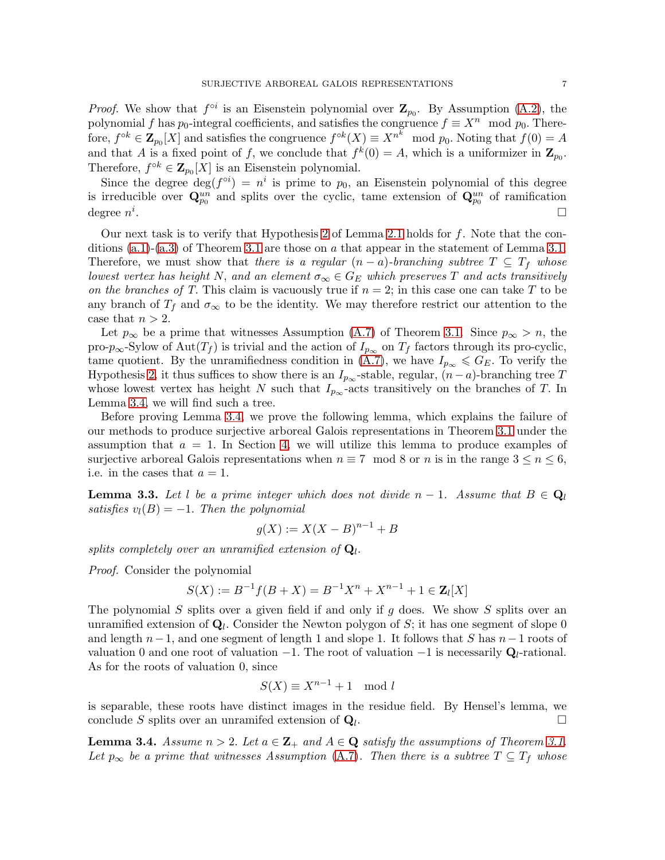*Proof.* We show that  $f^{\circ i}$  is an Eisenstein polynomial over  $\mathbb{Z}_{p_0}$ . By Assumption [\(A.2\)](#page-4-6), the polynomial f has  $p_0$ -integral coefficients, and satisfies the congruence  $f \equiv X^n \mod p_0$ . Therefore,  $f^{\circ k} \in \mathbf{Z}_{p_0}[X]$  and satisfies the congruence  $f^{\circ k}(X) \equiv X^{n^k} \mod p_0$ . Noting that  $f(0) = A$ and that A is a fixed point of f, we conclude that  $f^k(0) = A$ , which is a uniformizer in  $\mathbb{Z}_{p_0}$ . Therefore,  $f^{\circ k} \in \mathbf{Z}_{p_0}[X]$  is an Eisenstein polynomial.

Since the degree  $\deg(f^{\circ i}) = n^i$  is prime to  $p_0$ , an Eisenstein polynomial of this degree is irreducible over  $\mathbf{Q}_{p_0}^{un}$  and splits over the cyclic, tame extension of  $\mathbf{Q}_{p_0}^{un}$  of ramification degree  $n^i$ .

Our next task is to verify that Hypothesis [2](#page-2-4) of Lemma [2.1](#page-2-3) holds for  $f$ . Note that the conditions  $(a.1)-(a.3)$  $(a.1)-(a.3)$  of Theorem [3.1](#page-4-5) are those on a that appear in the statement of Lemma [3.1.](#page-4-5) Therefore, we must show that *there is a regular*  $(n - a)$ *-branching subtree*  $T \subseteq T_f$  whose *lowest vertex has height* N, and an element  $\sigma_{\infty} \in G_E$  which preserves T and acts transitively *on the branches of T.* This claim is vacuously true if  $n = 2$ ; in this case one can take T to be any branch of  $T_f$  and  $\sigma_{\infty}$  to be the identity. We may therefore restrict our attention to the case that  $n > 2$ .

Let  $p_{\infty}$  be a prime that witnesses Assumption [\(A.7\)](#page-4-7) of Theorem [3.1.](#page-4-5) Since  $p_{\infty} > n$ , the pro- $p_{\infty}$ -Sylow of Aut $(T_f)$  is trivial and the action of  $I_{p_{\infty}}$  on  $T_f$  factors through its pro-cyclic, tame quotient. By the unramifiedness condition in [\(A.7\)](#page-4-7), we have  $I_{p_{\infty}} \leqslant G_E$ . To verify the Hypothesis [2,](#page-2-4) it thus suffices to show there is an  $I_{p_{\infty}}$ -stable, regular,  $(n-a)$ -branching tree T whose lowest vertex has height N such that  $I_{p_{\infty}}$ -acts transitively on the branches of T. In Lemma [3.4,](#page-6-0) we will find such a tree.

Before proving Lemma [3.4,](#page-6-0) we prove the following lemma, which explains the failure of our methods to produce surjective arboreal Galois representations in Theorem [3.1](#page-4-5) under the assumption that  $a = 1$ . In Section [4,](#page-13-0) we will utilize this lemma to produce examples of surjective arboreal Galois representations when  $n \equiv 7 \mod 8$  or n is in the range  $3 \leq n \leq 6$ , i.e. in the cases that  $a = 1$ .

<span id="page-6-1"></span>**Lemma 3.3.** Let l be a prime integer which does not divide  $n-1$ . Assume that  $B \in \mathbf{Q}_l$  $satisfies v_l(B) = -1$ . *Then the polynomial* 

$$
g(X) := X(X - B)^{n-1} + B
$$

splits completely over an unramified extension of  $Q_l$ .

*Proof.* Consider the polynomial

$$
S(X) := B^{-1}f(B + X) = B^{-1}X^{n} + X^{n-1} + 1 \in \mathbf{Z}_{l}[X]
$$

The polynomial S splits over a given field if and only if  $g$  does. We show S splits over an unramified extension of  $\mathbf{Q}_l$ . Consider the Newton polygon of S; it has one segment of slope 0 and length  $n-1$ , and one segment of length 1 and slope 1. It follows that S has  $n-1$  roots of valuation 0 and one root of valuation  $-1$ . The root of valuation  $-1$  is necessarily  $\mathbf{Q}_l$ -rational. As for the roots of valuation 0, since

$$
S(X) \equiv X^{n-1} + 1 \mod l
$$

is separable, these roots have distinct images in the residue field. By Hensel's lemma, we conclude S splits over an unramifed extension of  $\mathbf{Q}_l$ . .

<span id="page-6-0"></span>**Lemma 3.4.** *Assume*  $n > 2$ *. Let*  $a \in \mathbb{Z}_+$  *and*  $A \in \mathbb{Q}$  *satisfy the assumptions of Theorem [3.1.](#page-4-5) Let*  $p_{\infty}$  *be a prime that witnesses Assumption* [\(A.7\)](#page-4-7)*. Then there is a subtree*  $T \subseteq T_f$  *whose*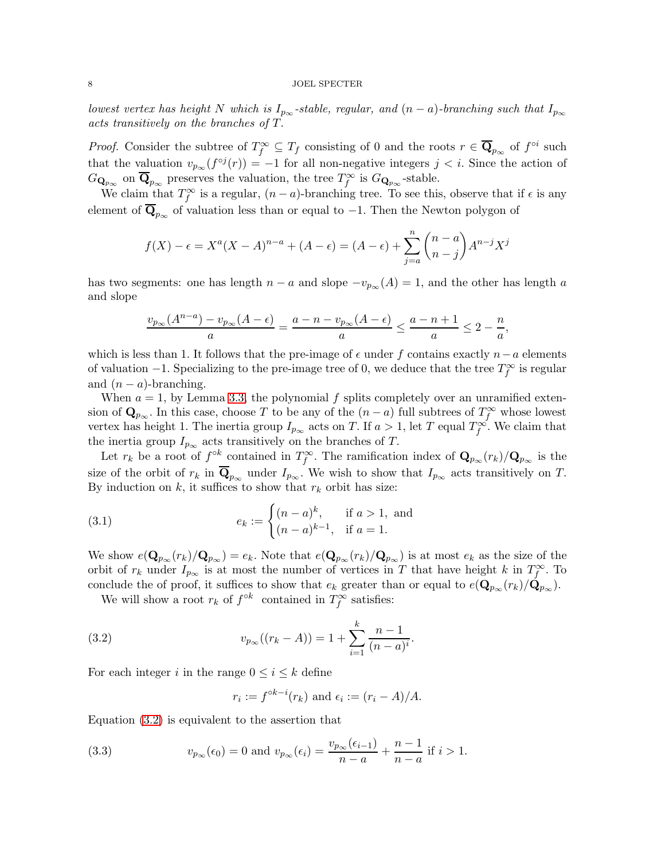### $8$  JOEL SPECTER  $\,$

*lowest vertex has height* N *which is*  $I_{p\infty}$ -stable, regular, and  $(n - a)$ -branching such that  $I_{p\infty}$ *acts transitively on the branches of* T.

*Proof.* Consider the subtree of  $T_f^{\infty} \subseteq T_f$  consisting of 0 and the roots  $r \in \overline{\mathbf{Q}}_{p_{\infty}}$  of  $f^{\circ i}$  such that the valuation  $v_{p_{\infty}}(f^{\circ j}(r)) = -1$  for all non-negative integers  $j < i$ . Since the action of  $G_{\mathbf{Q}_{p_{\infty}}}$  on  $\overline{\mathbf{Q}}_{p_{\infty}}$  preserves the valuation, the tree  $T_f^{\infty}$  is  $G_{\mathbf{Q}_{p_{\infty}}}$ -stable.

We claim that  $T_f^{\infty}$  is a regular,  $(n - a)$ -branching tree. To see this, observe that if  $\epsilon$  is any element of  $\overline{\mathbf{Q}}_{p_{\infty}}$  of valuation less than or equal to  $-1$ . Then the Newton polygon of

$$
f(X) - \epsilon = X^{a}(X - A)^{n-a} + (A - \epsilon) = (A - \epsilon) + \sum_{j=a}^{n} {n-a \choose n-j} A^{n-j} X^{j}
$$

has two segments: one has length  $n - a$  and slope  $-v_{p\infty}(A) = 1$ , and the other has length a and slope

$$
\frac{v_{p\infty}(A^{n-a})-v_{p\infty}(A-\epsilon)}{a}=\frac{a-n-v_{p\infty}(A-\epsilon)}{a}\leq \frac{a-n+1}{a}\leq 2-\frac{n}{a},
$$

which is less than 1. It follows that the pre-image of  $\epsilon$  under f contains exactly  $n-a$  elements of valuation  $-1$ . Specializing to the pre-image tree of 0, we deduce that the tree  $T_f^{\infty}$  is regular and  $(n - a)$ -branching.

When  $a = 1$ , by Lemma [3.3,](#page-6-1) the polynomial f splits completely over an unramified extension of  $\mathbf{Q}_{p_{\infty}}$ . In this case, choose T to be any of the  $(n - a)$  full subtrees of  $T_f^{\infty}$  whose lowest vertex has height 1. The inertia group  $I_{p_{\infty}}$  acts on T. If  $a > 1$ , let T equal  $T_f^{\infty}$ . We claim that the inertia group  $I_{p_{\infty}}$  acts transitively on the branches of T.

Let  $r_k$  be a root of  $f^{\circ k}$  contained in  $T_f^{\infty}$ . The ramification index of  $\mathbf{Q}_{p_{\infty}}(r_k)/\mathbf{Q}_{p_{\infty}}$  is the size of the orbit of  $r_k$  in  $\overline{\mathbf{Q}}_{p_{\infty}}$  under  $I_{p_{\infty}}$ . We wish to show that  $I_{p_{\infty}}$  acts transitively on T. By induction on  $k$ , it suffices to show that  $r_k$  orbit has size:

(3.1) 
$$
e_k := \begin{cases} (n-a)^k, & \text{if } a > 1, \text{ and} \\ (n-a)^{k-1}, & \text{if } a = 1. \end{cases}
$$

We show  $e(\mathbf{Q}_{p_{\infty}}(r_k)/\mathbf{Q}_{p_{\infty}}) = e_k$ . Note that  $e(\mathbf{Q}_{p_{\infty}}(r_k)/\mathbf{Q}_{p_{\infty}})$  is at most  $e_k$  as the size of the orbit of  $r_k$  under  $I_{p_\infty}$  is at most the number of vertices in T that have height k in  $T_f^\infty$ . To conclude the of proof, it suffices to show that  $e_k$  greater than or equal to  $e(\mathbf{Q}_{p_{\infty}}(r_k)/\mathbf{Q}_{p_{\infty}})$ .

We will show a root  $r_k$  of  $f^{\circ k}$  contained in  $T_f^{\infty}$  satisfies:

(3.2) 
$$
v_{p_{\infty}}((r_{k}-A))=1+\sum_{i=1}^{k}\frac{n-1}{(n-a)^{i}}.
$$

For each integer i in the range  $0 \leq i \leq k$  define

<span id="page-7-1"></span><span id="page-7-0"></span>
$$
r_i := f^{\circ k - i}(r_k)
$$
 and  $\epsilon_i := (r_i - A)/A$ .

Equation [\(3.2\)](#page-7-0) is equivalent to the assertion that

(3.3) 
$$
v_{p_{\infty}}(\epsilon_0) = 0 \text{ and } v_{p_{\infty}}(\epsilon_i) = \frac{v_{p_{\infty}}(\epsilon_{i-1})}{n-a} + \frac{n-1}{n-a} \text{ if } i > 1.
$$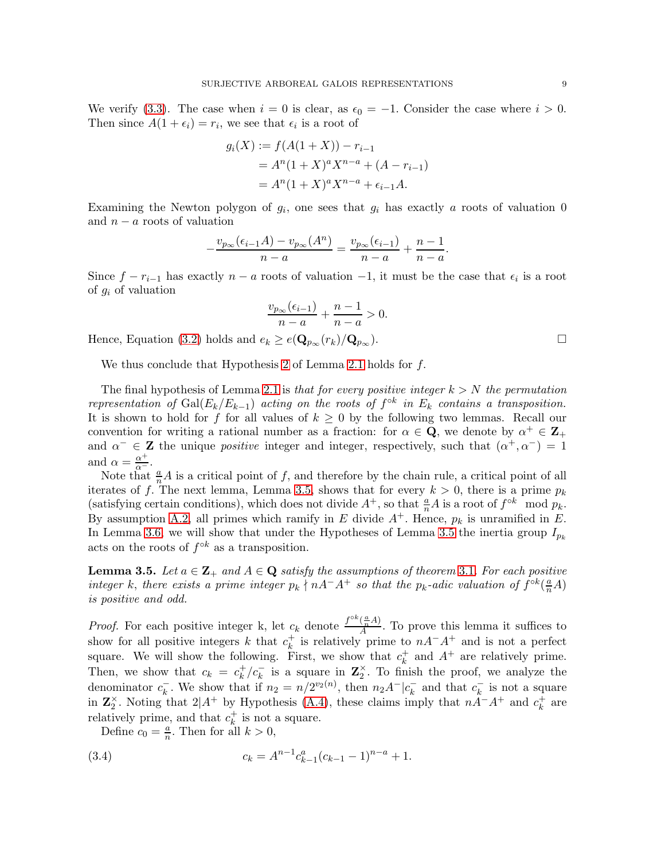We verify [\(3.3\)](#page-7-1). The case when  $i = 0$  is clear, as  $\epsilon_0 = -1$ . Consider the case where  $i > 0$ . Then since  $A(1 + \epsilon_i) = r_i$ , we see that  $\epsilon_i$  is a root of

$$
g_i(X) := f(A(1+X)) - r_{i-1}
$$
  
=  $A^n(1+X)^a X^{n-a} + (A - r_{i-1})$   
=  $A^n(1+X)^a X^{n-a} + \epsilon_{i-1}A$ .

Examining the Newton polygon of  $g_i$ , one sees that  $g_i$  has exactly a roots of valuation 0 and  $n - a$  roots of valuation

$$
-\frac{v_{p_{\infty}}(\epsilon_{i-1}A) - v_{p_{\infty}}(A^n)}{n-a} = \frac{v_{p_{\infty}}(\epsilon_{i-1})}{n-a} + \frac{n-1}{n-a}.
$$

Since  $f - r_{i-1}$  has exactly  $n - a$  roots of valuation  $-1$ , it must be the case that  $\epsilon_i$  is a root of  $g_i$  of valuation

$$
\frac{v_{p_{\infty}}(\epsilon_{i-1})}{n-a} + \frac{n-1}{n-a} > 0.
$$

Hence, Equation [\(3.2\)](#page-7-0) holds and  $e_k \geq e(\mathbf{Q}_{p_{\infty}}(r_k)/\mathbf{Q}_{p_{\infty}})$ .

We thus conclude that Hypothesis [2](#page-2-4) of Lemma [2.1](#page-2-3) holds for f.

The final hypothesis of Lemma [2.1](#page-2-3) is *that for every positive integer* k > N *the permutation representation of*  $Gal(E_k/E_{k-1})$  *acting on the roots of*  $f^{\circ k}$  *in*  $E_k$  *contains a transposition.* It is shown to hold for f for all values of  $k \geq 0$  by the following two lemmas. Recall our convention for writing a rational number as a fraction: for  $\alpha \in \mathbf{Q}$ , we denote by  $\alpha^+ \in \mathbf{Z}_+$ and  $\alpha^- \in \mathbb{Z}$  the unique *positive* integer and integer, respectively, such that  $(\alpha^+, \alpha^-) = 1$ and  $\alpha = \frac{\alpha^+}{\alpha^-}$ .

Note that  $\frac{a}{n}A$  is a critical point of f, and therefore by the chain rule, a critical point of all iterates of f. The next lemma, Lemma [3.5,](#page-8-0) shows that for every  $k > 0$ , there is a prime  $p_k$ (satisfying certain conditions), which does not divide  $A^+$ , so that  $\frac{a}{n}A$  is a root of  $f^{\circ k}$  mod  $p_k$ . By assumption [A.2,](#page-4-6) all primes which ramify in E divide  $A^+$ . Hence,  $p_k$  is unramified in E. In Lemma [3.6,](#page-11-0) we will show that under the Hypotheses of Lemma [3.5](#page-8-0) the inertia group  $I_{p_k}$ acts on the roots of  $f^{\circ k}$  as a transposition.

<span id="page-8-0"></span>**Lemma [3](#page-4-5).5.** Let  $a \in \mathbb{Z}_+$  and  $A \in \mathbb{Q}$  satisfy the assumptions of theorem 3.1. For each positive *integer* k, there exists a prime integer  $p_k \nmid nA^-A^+$  so that the  $p_k$ -adic valuation of  $f^{\circ k}(\frac{a}{n}A)$ *is positive and odd.*

*Proof.* For each positive integer k, let  $c_k$  denote  $\frac{f^{\circ k}(\frac{a}{n}A)}{A}$ . To prove this lemma it suffices to show for all positive integers k that  $c_k^+$  $\frac{1}{k}$  is relatively prime to  $nA^-A^+$  and is not a perfect square. We will show the following. First, we show that  $c_k^+$  $\frac{1}{k}$  and  $A^+$  are relatively prime. Then, we show that  $c_k = c_k^+$  $\frac{1}{k}$  / $c_k^-$  is a square in  $\mathbb{Z}_2^{\times}$ . To finish the proof, we analyze the denominator  $c_k^-$ <sup> $k$ </sup>. We show that if  $n_2 = n/2^{v_2(n)}$ , then  $n_2A^-|c_k^ \bar{k}$  and that  $c_k^ \overline{k}$  is not a square in  $\mathbb{Z}_2^{\times}$ . Noting that  $2|A^+$  by Hypothesis [\(A.4\)](#page-4-10), these claims imply that  $n\ddot{A}^-A^+$  and  $c_k^+$  $\frac{+}{k}$  are relatively prime, and that  $c_k^+$  $\frac{1}{k}$  is not a square.

<span id="page-8-1"></span>Define  $c_0 = \frac{a}{n}$ . Then for all  $k > 0$ ,

(3.4) 
$$
c_k = A^{n-1} c_{k-1}^a (c_{k-1} - 1)^{n-a} + 1.
$$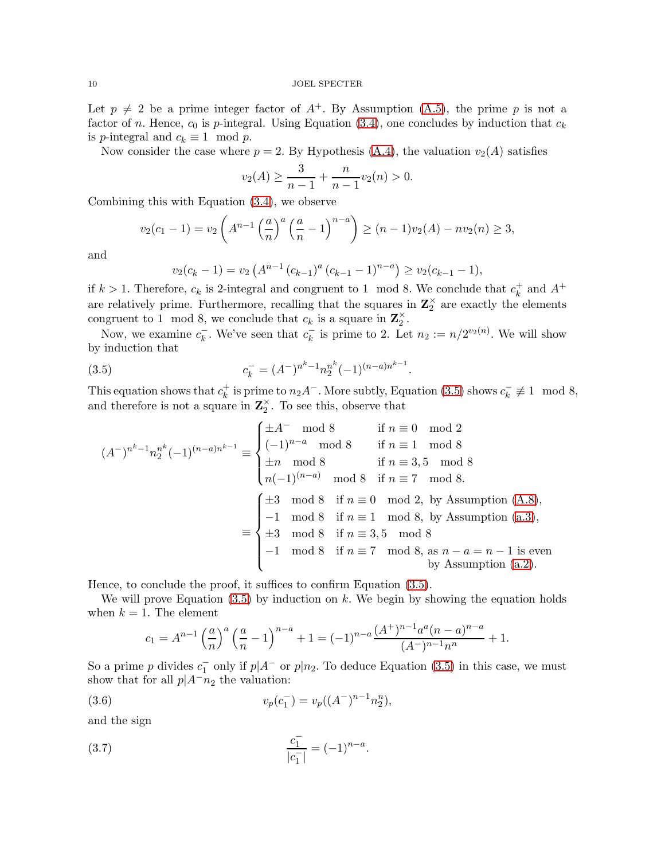Let  $p \neq 2$  be a prime integer factor of  $A^+$ . By Assumption [\(A.5\)](#page-4-11), the prime p is not a factor of n. Hence,  $c_0$  is p-integral. Using Equation [\(3.4\)](#page-8-1), one concludes by induction that  $c_k$ is p-integral and  $c_k \equiv 1 \mod p$ .

Now consider the case where  $p = 2$ . By Hypothesis [\(A.4\)](#page-4-10), the valuation  $v_2(A)$  satisfies

$$
v_2(A) \ge \frac{3}{n-1} + \frac{n}{n-1}v_2(n) > 0.
$$

Combining this with Equation [\(3.4\)](#page-8-1), we observe

$$
v_2(c_1 - 1) = v_2\left(A^{n-1}\left(\frac{a}{n}\right)^a\left(\frac{a}{n} - 1\right)^{n-a}\right) \ge (n-1)v_2(A) - nv_2(n) \ge 3,
$$

and

<span id="page-9-0"></span>
$$
v_2(c_k - 1) = v_2 \left(A^{n-1} (c_{k-1})^a (c_{k-1} - 1)^{n-a}\right) \ge v_2(c_{k-1} - 1),
$$

if  $k > 1$ . Therefore,  $c_k$  is 2-integral and congruent to 1 mod 8. We conclude that  $c_k^+$  $\frac{1}{k}$  and  $A^+$ are relatively prime. Furthermore, recalling that the squares in  $\mathbb{Z}_2^{\times}$  are exactly the elements congruent to 1 mod 8, we conclude that  $c_k$  is a square in  $\mathbf{Z}_2^{\times}$ .

Now, we examine  $c_k^ \bar{k}$ . We've seen that  $c_k^ \bar{k}_{k}$  is prime to 2. Let  $n_2 := n/2^{v_2(n)}$ . We will show by induction that

(3.5) 
$$
c_k^- = (A^-)^{n^k - 1} n_2^{n^k} (-1)^{(n-a)n^{k-1}}.
$$

This equation shows that  $c_k^+$  $k_k^+$  is prime to  $n_2A^-$ . More subtly, Equation [\(3.5\)](#page-9-0) shows  $c_k^ \overline{k} \not\equiv 1 \mod 8,$ and therefore is not a square in  $\mathbb{Z}_2^{\times}$ . To see this, observe that

$$
(A^{-})^{n^{k}-1}n_{2}^{n^{k}}(-1)^{(n-a)n^{k-1}} \equiv \begin{cases} \pm A^{-} \mod 8 & \text{if } n \equiv 0 \mod 2\\ (-1)^{n-a} \mod 8 & \text{if } n \equiv 1 \mod 8\\ \pm n \mod 8 & \text{if } n \equiv 3,5 \mod 8\\ n(-1)^{(n-a)} \mod 8 & \text{if } n \equiv 7 \mod 8. \end{cases}
$$

$$
\equiv \begin{cases} \pm 3 \mod 8 & \text{if } n \equiv 1 \mod 8\\ -1 \mod 8 & \text{if } n \equiv 7 \mod 8\\ \pm 3 \mod 8 & \text{if } n \equiv 1 \mod 8, \text{ by Assumption (A.8)},\\ \pm 3 \mod 8 & \text{if } n \equiv 3,5 \mod 8\\ -1 \mod 8 & \text{if } n \equiv 3,5 \mod 8\\ -1 \mod 8 & \text{if } n \equiv 7 \mod 8, \text{ as } n-a=n-1 \text{ is even} \\ \text{by Assumption (a.2)}.\end{cases}
$$

Hence, to conclude the proof, it suffices to confirm Equation [\(3.5\)](#page-9-0).

We will prove Equation  $(3.5)$  by induction on k. We begin by showing the equation holds when  $k = 1$ . The element

$$
c_1 = A^{n-1} \left(\frac{a}{n}\right)^a \left(\frac{a}{n} - 1\right)^{n-a} + 1 = (-1)^{n-a} \frac{(A^+)^{n-1} a^a (n-a)^{n-a}}{(A^-)^{n-1} n^n} + 1.
$$

So a prime p divides  $c_1^-$  only if  $p|A^-$  or  $p|n_2$ . To deduce Equation [\(3.5\)](#page-9-0) in this case, we must show that for all  $p|A^-n_2$  the valuation:

(3.6) 
$$
v_p(c_1^-) = v_p((A^-)^{n-1}n_2^n),
$$

and the sign

(3.7) 
$$
\frac{c_1^-}{|c_1^-|} = (-1)^{n-a}.
$$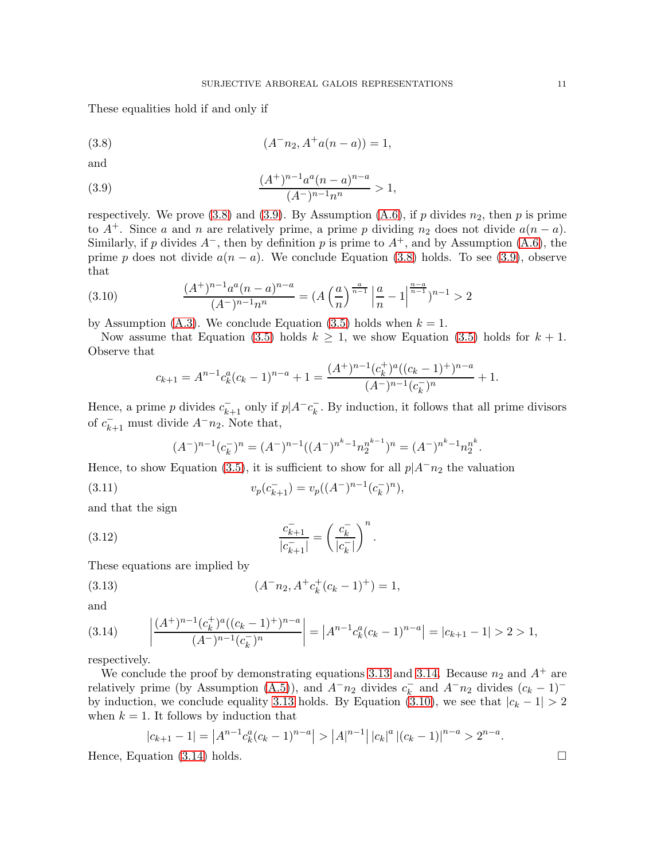These equalities hold if and only if

<span id="page-10-0"></span>(3.8) 
$$
(A^- n_2, A^+ a(n-a)) = 1,
$$

and

<span id="page-10-1"></span>(3.9) 
$$
\frac{(A^+)^{n-1}a^a(n-a)^{n-a}}{(A^-)^{n-1}n^n} > 1,
$$

respectively. We prove [\(3.8\)](#page-10-0) and [\(3.9\)](#page-10-1). By Assumption [\(A.6\)](#page-4-9), if p divides  $n_2$ , then p is prime to  $A^+$ . Since a and n are relatively prime, a prime p dividing  $n_2$  does not divide  $a(n - a)$ . Similarly, if p divides  $A^-$ , then by definition p is prime to  $A^+$ , and by Assumption [\(A.6\)](#page-4-9), the prime p does not divide  $a(n - a)$ . We conclude Equation [\(3.8\)](#page-10-0) holds. To see [\(3.9\)](#page-10-1), observe that

(3.10) 
$$
\frac{(A^+)^{n-1}a^a(n-a)^{n-a}}{(A^-)^{n-1}n^n} = (A\left(\frac{a}{n}\right)^{\frac{a}{n-1}}\left|\frac{a}{n}-1\right|^{\frac{n-a}{n-1}})^{n-1} > 2
$$

by Assumption [\(A.3\)](#page-4-8). We conclude Equation [\(3.5\)](#page-9-0) holds when  $k = 1$ .

Now assume that Equation [\(3.5\)](#page-9-0) holds  $k \geq 1$ , we show Equation (3.5) holds for  $k + 1$ . Observe that

<span id="page-10-4"></span>
$$
c_{k+1} = A^{n-1} c_k^a (c_k - 1)^{n-a} + 1 = \frac{(A^+)^{n-1} (c_k^+)^a ((c_k - 1)^+)^{n-a}}{(A^-)^{n-1} (c_k^-)^n} + 1.
$$

Hence, a prime  $p$  divides  $c_{k+1}^-$  only if  $p|A^-c_k^ \bar{k}$ . By induction, it follows that all prime divisors of  $c_{k+1}^-$  must divide  $A^-n_2$ . Note that,

<span id="page-10-2"></span>
$$
(A^-)^{n-1}(c_k^-)^n = (A^-)^{n-1}((A^-)^{n^k-1}n_2^{n^{k-1}})^n = (A^-)^{n^k-1}n_2^{n^k}.
$$

Hence, to show Equation [\(3.5\)](#page-9-0), it is sufficient to show for all  $p|A^-n_2$  the valuation

(3.11) 
$$
v_p(c_{k+1}^-) = v_p((A^-)^{n-1}(c_k^-)^n),
$$

and that the sign

(3.12) 
$$
\frac{c_{k+1}^-}{|c_{k+1}^-|} = \left(\frac{c_k^-}{|c_k^-|}\right)^n.
$$

These equations are implied by

(3.13) 
$$
(A^- n_2, A^+ c_k^+ (c_k - 1)^+) = 1,
$$

and

<span id="page-10-3"></span>
$$
(3.14) \qquad \left| \frac{(A^+)^{n-1}(c_k^+)^a((c_k-1)^+)^{n-a}}{(A^-)^{n-1}(c_k^-)^n} \right| = |A^{n-1}c_k^a(c_k-1)^{n-a}| = |c_{k+1}-1| > 2 > 1,
$$

respectively.

We conclude the proof by demonstrating equations [3.13](#page-10-2) and [3.14.](#page-10-3) Because  $n_2$  and  $A^+$  are relatively prime (by Assumption [\(A.5\)](#page-4-11)), and  $A^-n_2$  divides  $c_k^ \overline{k}$  and  $A^-n_2$  divides  $(c_k-1)^-$ by induction, we conclude equality [3.13](#page-10-2) holds. By Equation [\(3.10\)](#page-10-4), we see that  $|c_k - 1| > 2$ when  $k = 1$ . It follows by induction that

$$
|c_{k+1} - 1| = |A^{n-1}c_k^a(c_k - 1)^{n-a}| > |A|^{n-1}||c_k|^a |(c_k - 1)|^{n-a} > 2^{n-a}.
$$
  
Hence, Equation (3.14) holds.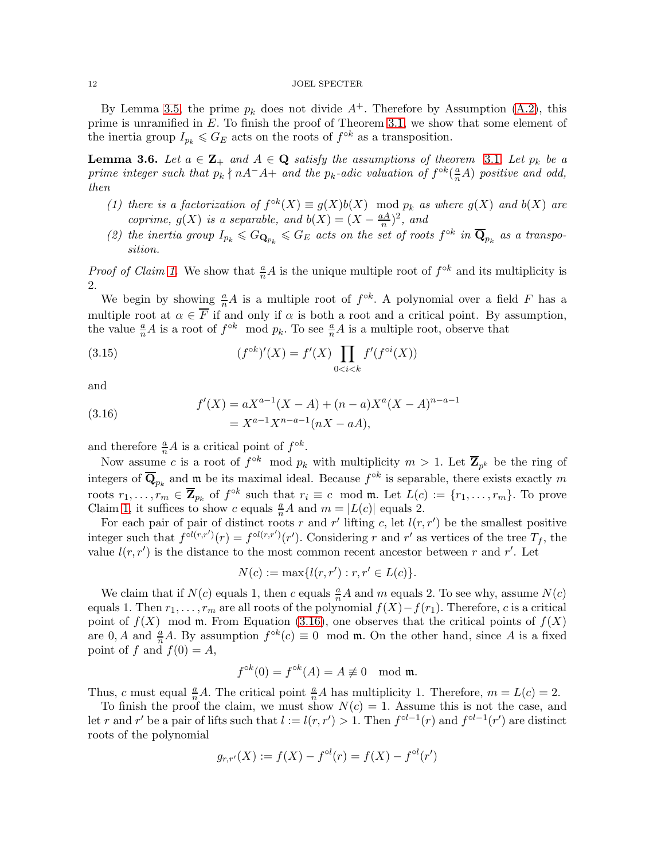#### 12 JOEL SPECTER

By Lemma [3.5,](#page-8-0) the prime  $p_k$  does not divide  $A^+$ . Therefore by Assumption [\(A.2\)](#page-4-6), this prime is unramified in E. To finish the proof of Theorem [3.1,](#page-4-5) we show that some element of the inertia group  $I_{p_k} \leqslant G_E$  acts on the roots of  $f^{\circ k}$  as a transposition.

<span id="page-11-0"></span>**Lemma [3](#page-4-5).6.** Let  $a \in \mathbb{Z}_+$  and  $A \in \mathbb{Q}$  satisfy the assumptions of theorem 3.1. Let  $p_k$  be a *prime integer such that*  $p_k \nmid nA^-A+$  *and the*  $p_k$ -adic valuation of  $f^{\circ k}(\frac{a}{n}A)$  positive and odd, *then*

- <span id="page-11-1"></span>(1) there is a factorization of  $f^{\circ k}(X) \equiv g(X)b(X) \mod p_k$  as where  $g(X)$  and  $b(X)$  are *coprime,*  $g(X)$  *is a separable, and*  $b(X) = (X - \frac{aA}{n})$  $\frac{d^{2}}{n})^{2}$ *, and*
- <span id="page-11-3"></span>(2) the inertia group  $I_{p_k} \leq G_{\mathbf{Q}_{p_k}} \leq G_E$  acts on the set of roots  $f^{\circ k}$  in  $\overline{\mathbf{Q}}_{p_k}$  as a transpo*sition.*

*Proof of Claim [1.](#page-11-1)* We show that  $\frac{a}{n}A$  is the unique multiple root of  $f^{\circ k}$  and its multiplicity is 2.

We begin by showing  $\frac{a}{n}A$  is a multiple root of  $f^{\circ k}$ . A polynomial over a field F has a multiple root at  $\alpha \in F$  if and only if  $\alpha$  is both a root and a critical point. By assumption, the value  $\frac{a}{n}A$  is a root of  $f^{\circ k}$  mod  $p_k$ . To see  $\frac{a}{n}A$  is a multiple root, observe that

(3.15) 
$$
(f^{\circ k})'(X) = f'(X) \prod_{0 < i < k} f'(f^{\circ i}(X))
$$

and

<span id="page-11-2"></span>(3.16) 
$$
f'(X) = aX^{a-1}(X - A) + (n - a)X^{a}(X - A)^{n-a-1} = X^{a-1}X^{n-a-1}(nX - aA),
$$

and therefore  $\frac{a}{n}A$  is a critical point of  $f^{\circ k}$ .

Now assume c is a root of  $f^{\circ k}$  mod  $p_k$  with multiplicity  $m > 1$ . Let  $\overline{Z}_{p^k}$  be the ring of integers of  $\overline{\mathbf{Q}}_{p_k}$  and  $\mathfrak{m}$  be its maximal ideal. Because  $f^{\circ k}$  is separable, there exists exactly m roots  $r_1, \ldots, r_m \in \overline{\mathbf{Z}}_{p_k}$  of  $f^{\circ k}$  such that  $r_i \equiv c \mod \mathfrak{m}$ . Let  $L(c) := \{r_1, \ldots, r_m\}$ . To prove Claim [1,](#page-11-1) it suffices to show c equals  $\frac{a}{n}A$  and  $m = |L(c)|$  equals 2.

For each pair of pair of distinct roots r and r' lifting c, let  $l(r, r')$  be the smallest positive integer such that  $f^{\circ l(r,r')}(r) = f^{\circ l(r,r')}(r')$ . Considering r and r' as vertices of the tree  $T_f$ , the value  $l(r, r')$  is the distance to the most common recent ancestor between r and r'. Let

$$
N(c) := \max\{l(r, r'): r, r' \in L(c)\}.
$$

We claim that if  $N(c)$  equals 1, then c equals  $\frac{a}{n}A$  and m equals 2. To see why, assume  $N(c)$ equals 1. Then  $r_1, \ldots, r_m$  are all roots of the polynomial  $f(X) - f(r_1)$ . Therefore, c is a critical point of  $f(X)$  mod m. From Equation [\(3.16\)](#page-11-2), one observes that the critical points of  $f(X)$ are 0, A and  $\frac{a}{n}A$ . By assumption  $f^{\circ k}(c) \equiv 0 \mod \mathfrak{m}$ . On the other hand, since A is a fixed point of f and  $f(0) = A$ ,

$$
f^{\circ k}(0) = f^{\circ k}(A) = A \not\equiv 0 \mod \mathfrak{m}.
$$

Thus, c must equal  $\frac{a}{n}A$ . The critical point  $\frac{a}{n}A$  has multiplicity 1. Therefore,  $m = L(c) = 2$ .

To finish the proof the claim, we must show  $N(c) = 1$ . Assume this is not the case, and let r and r' be a pair of lifts such that  $l := l(r, r') > 1$ . Then  $f^{\circ l-1}(r)$  and  $f^{\circ l-1}(r')$  are distinct roots of the polynomial

$$
g_{r,r'}(X) := f(X) - f^{\circ l}(r) = f(X) - f^{\circ l}(r')
$$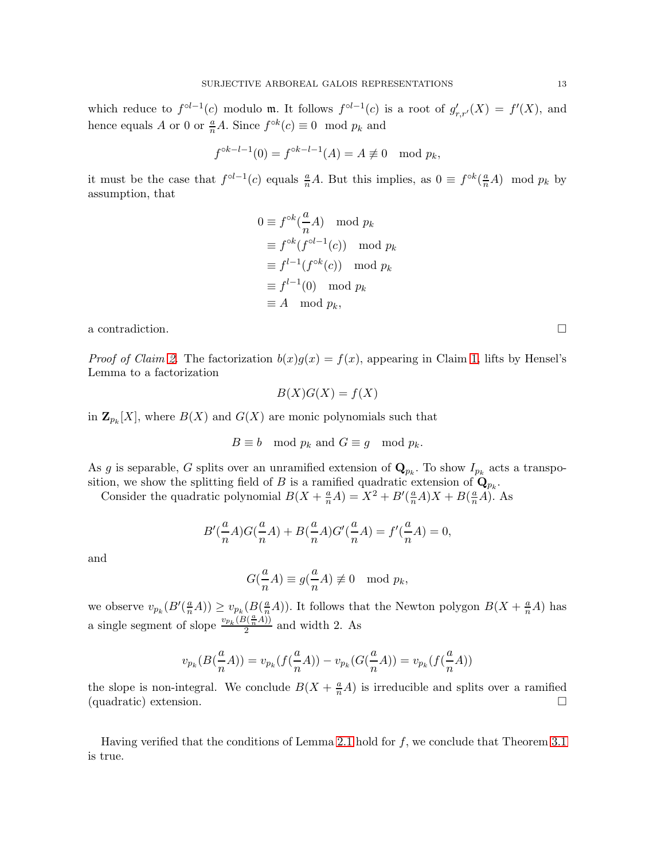which reduce to  $f^{\circ l-1}(c)$  modulo m. It follows  $f^{\circ l-1}(c)$  is a root of  $g'_{r,r'}(X) = f'(X)$ , and hence equals A or 0 or  $\frac{a}{n}A$ . Since  $f^{\circ k}(c) \equiv 0 \mod p_k$  and

$$
f^{\circ k-l-1}(0) = f^{\circ k-l-1}(A) = A \not\equiv 0 \mod p_k,
$$

it must be the case that  $f^{\circ l-1}(c)$  equals  $\frac{a}{n}A$ . But this implies, as  $0 \equiv f^{\circ k}(\frac{a}{n}A) \mod p_k$  by assumption, that

$$
0 \equiv f^{\circ k}(\frac{a}{n}A) \mod p_k
$$
  
\n
$$
\equiv f^{\circ k}(f^{\circ l-1}(c)) \mod p_k
$$
  
\n
$$
\equiv f^{l-1}(f^{\circ k}(c)) \mod p_k
$$
  
\n
$$
\equiv f^{l-1}(0) \mod p_k
$$
  
\n
$$
\equiv A \mod p_k,
$$

a contradiction.  $\Box$ 

*Proof of Claim [2.](#page-11-3)* The factorization  $b(x)g(x) = f(x)$ , appearing in Claim [1,](#page-11-1) lifts by Hensel's Lemma to a factorization

$$
B(X)G(X) = f(X)
$$

in  $\mathbf{Z}_{p_k}[X]$ , where  $B(X)$  and  $G(X)$  are monic polynomials such that

$$
B \equiv b \mod p_k \text{ and } G \equiv g \mod p_k.
$$

As g is separable, G splits over an unramified extension of  $\mathbf{Q}_{p_k}$ . To show  $I_{p_k}$  acts a transposition, we show the splitting field of B is a ramified quadratic extension of  $\mathbf{Q}_{p_k}$ .

Consider the quadratic polynomial  $B(X + \frac{a}{n}A) = X^2 + B'(\frac{a}{n}A)X + B(\frac{a}{n}A)$ . As

$$
B'(\frac{a}{n}A)G(\frac{a}{n}A)+B(\frac{a}{n}A)G'(\frac{a}{n}A)=f'(\frac{a}{n}A)=0,
$$

and

$$
G(\frac{a}{n}A) \equiv g(\frac{a}{n}A) \not\equiv 0 \mod p_k,
$$

we observe  $v_{p_k}(B'(\frac{a}{n}A)) \ge v_{p_k}(B(\frac{a}{n}A))$ . It follows that the Newton polygon  $B(X + \frac{a}{n}A)$  has a single segment of slope  $\frac{v_{p_k}(B(\frac{a}{n}A))}{2}$  and width 2. As

$$
v_{p_k}(B(\frac{a}{n}A)) = v_{p_k}(f(\frac{a}{n}A)) - v_{p_k}(G(\frac{a}{n}A)) = v_{p_k}(f(\frac{a}{n}A))
$$

the slope is non-integral. We conclude  $B(X + \frac{a}{n}A)$  is irreducible and splits over a ramified (quadratic) extension.

Having verified that the conditions of Lemma [2.1](#page-2-3) hold for  $f$ , we conclude that Theorem [3.1](#page-4-5) is true.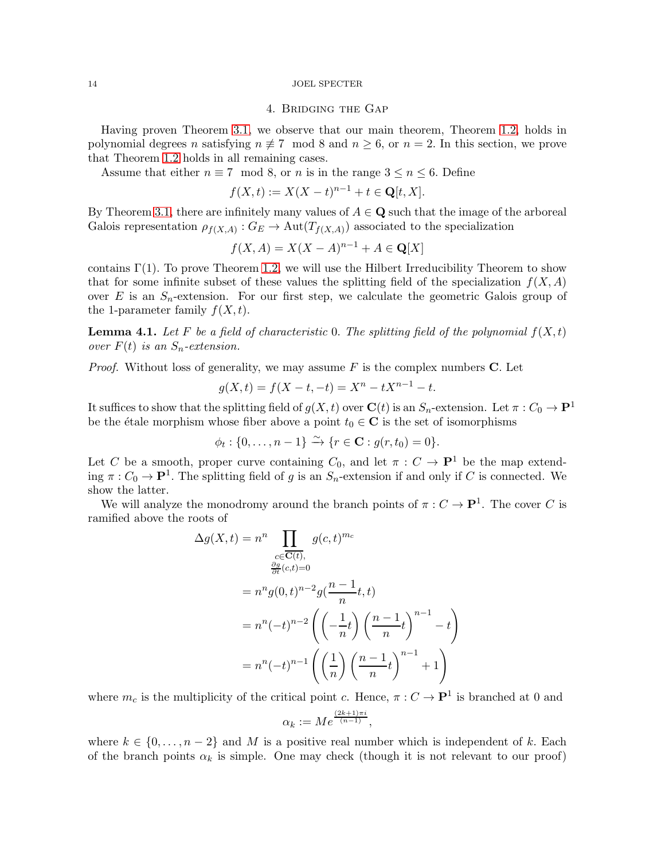#### <span id="page-13-0"></span>14 JOEL SPECTER

# 4. Bridging the Gap

Having proven Theorem [3.1,](#page-4-5) we observe that our main theorem, Theorem [1.2,](#page-1-2) holds in polynomial degrees n satisfying  $n \neq 7 \mod 8$  and  $n \geq 6$ , or  $n = 2$ . In this section, we prove that Theorem [1.2](#page-1-2) holds in all remaining cases.

Assume that either  $n \equiv 7 \mod 8$ , or n is in the range  $3 \le n \le 6$ . Define

$$
f(X,t) := X(X-t)^{n-1} + t \in \mathbf{Q}[t, X].
$$

By Theorem [3.1,](#page-4-5) there are infinitely many values of  $A \in \mathbf{Q}$  such that the image of the arboreal Galois representation  $\rho_{f(X,A)} : G_E \to \text{Aut}(T_{f(X,A)})$  associated to the specialization

$$
f(X, A) = X(X - A)^{n-1} + A \in \mathbf{Q}[X]
$$

contains  $\Gamma(1)$ . To prove Theorem [1.2,](#page-1-2) we will use the Hilbert Irreducibility Theorem to show that for some infinite subset of these values the splitting field of the specialization  $f(X, A)$ over E is an  $S_n$ -extension. For our first step, we calculate the geometric Galois group of the 1-parameter family  $f(X, t)$ .

<span id="page-13-1"></span>**Lemma 4.1.** Let F be a field of characteristic 0. The splitting field of the polynomial  $f(X,t)$ *over*  $F(t)$  *is an*  $S_n$ -extension.

*Proof.* Without loss of generality, we may assume  $F$  is the complex numbers  $C$ . Let

$$
g(X,t) = f(X - t, -t) = X^n - tX^{n-1} - t.
$$

It suffices to show that the splitting field of  $g(X, t)$  over  $\mathbf{C}(t)$  is an  $S_n$ -extension. Let  $\pi: C_0 \to \mathbf{P}^1$ be the étale morphism whose fiber above a point  $t_0 \in \mathbb{C}$  is the set of isomorphisms

 $\phi_t : \{0, ..., n-1\} \xrightarrow{\sim} \{r \in \mathbf{C} : g(r, t_0) = 0\}.$ 

Let C be a smooth, proper curve containing  $C_0$ , and let  $\pi : C \to \mathbf{P}^1$  be the map extending  $\pi: C_0 \to \mathbf{P}^1$ . The splitting field of g is an  $S_n$ -extension if and only if C is connected. We show the latter.

We will analyze the monodromy around the branch points of  $\pi : C \to \mathbf{P}^1$ . The cover C is ramified above the roots of

$$
\Delta g(X,t) = n^n \prod_{\substack{c \in \overline{C(t)}, \\ \frac{\partial g}{\partial t}(c,t) = 0}} g(c,t)^{m_c}
$$

$$
= n^n g(0,t)^{n-2} g(\frac{n-1}{n}t,t)
$$

$$
= n^n (-t)^{n-2} \left( \left(-\frac{1}{n}t\right) \left(\frac{n-1}{n}t\right)^{n-1} - t \right)
$$

$$
= n^n (-t)^{n-1} \left( \left(\frac{1}{n}\right) \left(\frac{n-1}{n}t\right)^{n-1} + 1 \right)
$$

where  $m_c$  is the multiplicity of the critical point c. Hence,  $\pi: C \to \mathbf{P}^1$  is branched at 0 and

$$
\alpha_k := Me^{\frac{(2k+1)\pi i}{(n-1)}},
$$

where  $k \in \{0, \ldots, n-2\}$  and M is a positive real number which is independent of k. Each of the branch points  $\alpha_k$  is simple. One may check (though it is not relevant to our proof)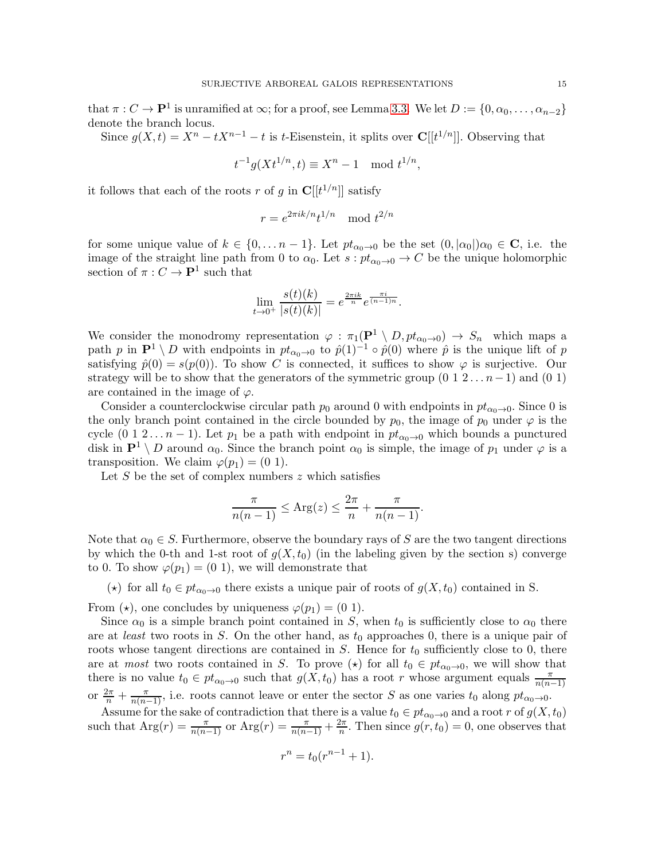that  $\pi: C \to \mathbf{P}^1$  is unramified at  $\infty$ ; for a proof, see Lemma [3.3.](#page-6-1) We let  $D := \{0, \alpha_0, \dots, \alpha_{n-2}\}\$ denote the branch locus.

Since  $g(X,t) = X^n - tX^{n-1} - t$  is t-Eisenstein, it splits over  $\mathbb{C}[[t^{1/n}]]$ . Observing that

$$
t^{-1}g(Xt^{1/n},t) \equiv X^n - 1 \mod t^{1/n},
$$

it follows that each of the roots r of g in  $\mathbb{C}[[t^{1/n}]]$  satisfy

$$
r = e^{2\pi i k/n} t^{1/n} \mod t^{2/n}
$$

for some unique value of  $k \in \{0, \ldots n-1\}$ . Let  $pt_{\alpha_0 \to 0}$  be the set  $(0, |\alpha_0|) \alpha_0 \in \mathbb{C}$ , i.e. the image of the straight line path from 0 to  $\alpha_0$ . Let  $s : pt_{\alpha_0 \to 0} \to C$  be the unique holomorphic section of  $\pi: C \to \mathbf{P}^1$  such that

$$
\lim_{t \to 0^+} \frac{s(t)(k)}{|s(t)(k)|} = e^{\frac{2\pi i k}{n}} e^{\frac{\pi i}{(n-1)n}}.
$$

We consider the monodromy representation  $\varphi : \pi_1(\mathbf{P}^1 \setminus D, pt_{\alpha_0 \to 0}) \to S_n$  which maps a path p in  $\mathbf{P}^1 \setminus D$  with endpoints in  $pt_{\alpha_0\to 0}$  to  $\hat{p}(1)^{-1} \circ \hat{p}(0)$  where  $\hat{p}$  is the unique lift of p satisfying  $\hat{p}(0) = s(p(0))$ . To show C is connected, it suffices to show  $\varphi$  is surjective. Our strategy will be to show that the generators of the symmetric group  $(0\ 1\ 2\ldots n-1)$  and  $(0\ 1)$ are contained in the image of  $\varphi$ .

Consider a counterclockwise circular path  $p_0$  around 0 with endpoints in  $pt_{\alpha_0\rightarrow 0}$ . Since 0 is the only branch point contained in the circle bounded by  $p_0$ , the image of  $p_0$  under  $\varphi$  is the cycle  $(0 \ 1 \ 2 \dots n-1)$ . Let  $p_1$  be a path with endpoint in  $pt_{\alpha_0 \to 0}$  which bounds a punctured disk in  $\mathbf{P}^1 \setminus D$  around  $\alpha_0$ . Since the branch point  $\alpha_0$  is simple, the image of  $p_1$  under  $\varphi$  is a transposition. We claim  $\varphi(p_1) = (0 \ 1)$ .

Let  $S$  be the set of complex numbers  $z$  which satisfies

$$
\frac{\pi}{n(n-1)} \le \text{Arg}(z) \le \frac{2\pi}{n} + \frac{\pi}{n(n-1)}.
$$

Note that  $\alpha_0 \in S$ . Furthermore, observe the boundary rays of S are the two tangent directions by which the 0-th and 1-st root of  $g(X, t_0)$  (in the labeling given by the section s) converge to 0. To show  $\varphi(p_1) = (0 \ 1)$ , we will demonstrate that

(★) for all  $t_0 \in pt_{\alpha_0 \to 0}$  there exists a unique pair of roots of  $g(X, t_0)$  contained in S.

From ( $\star$ ), one concludes by uniqueness  $\varphi(p_1) = (0 \ 1)$ .

Since  $\alpha_0$  is a simple branch point contained in S, when  $t_0$  is sufficiently close to  $\alpha_0$  there are at *least* two roots in S. On the other hand, as  $t_0$  approaches 0, there is a unique pair of roots whose tangent directions are contained in  $S$ . Hence for  $t_0$  sufficiently close to 0, there are at *most* two roots contained in S. To prove ( $\star$ ) for all  $t_0 \in pt_{\alpha_0 \to 0}$ , we will show that there is no value  $t_0 \in pt_{\alpha_0 \to 0}$  such that  $g(X, t_0)$  has a root r whose argument equals  $\frac{\pi}{n(n-1)}$ or  $\frac{2\pi}{n} + \frac{\pi}{n(n-1)}$ , i.e. roots cannot leave or enter the sector S as one varies  $t_0$  along  $pt_{\alpha_0\to 0}$ .

Assume for the sake of contradiction that there is a value  $t_0 \in pt_{\alpha_0 \to 0}$  and a root r of  $g(X, t_0)$ such that  $\text{Arg}(r) = \frac{\pi}{n(n-1)}$  or  $\text{Arg}(r) = \frac{\pi}{n(n-1)} + \frac{2\pi}{n}$  $\frac{2\pi}{n}$ . Then since  $g(r, t_0) = 0$ , one observes that

$$
r^n = t_0(r^{n-1} + 1).
$$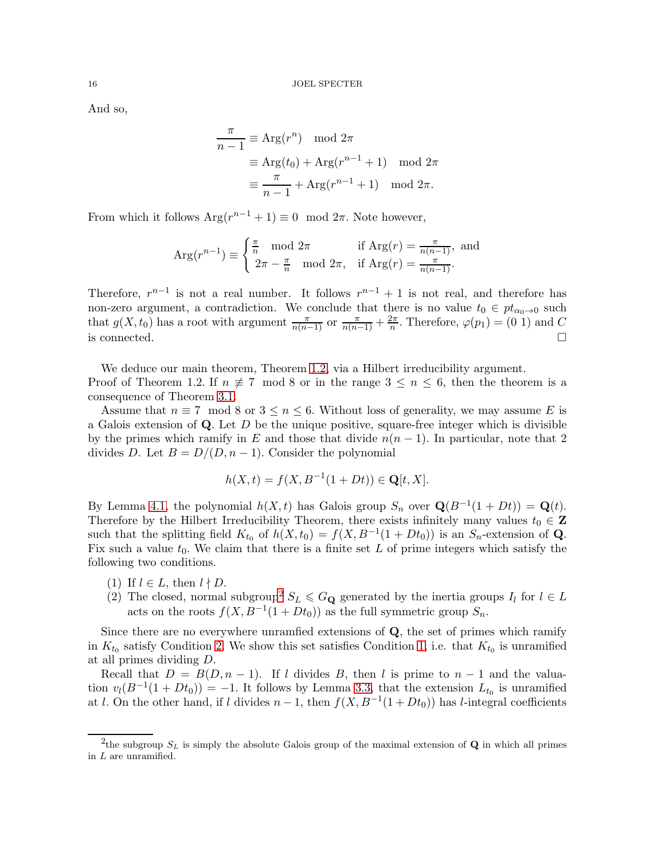And so,

$$
\frac{\pi}{n-1} \equiv \text{Arg}(r^n) \mod 2\pi
$$

$$
\equiv \text{Arg}(t_0) + \text{Arg}(r^{n-1} + 1) \mod 2\pi
$$

$$
\equiv \frac{\pi}{n-1} + \text{Arg}(r^{n-1} + 1) \mod 2\pi.
$$

From which it follows  $Arg(r^{n-1} + 1) \equiv 0 \mod 2\pi$ . Note however,

$$
\operatorname{Arg}(r^{n-1}) \equiv \begin{cases} \frac{\pi}{n} \mod 2\pi & \text{if } \operatorname{Arg}(r) = \frac{\pi}{n(n-1)}, \text{ and} \\ 2\pi - \frac{\pi}{n} \mod 2\pi, & \text{if } \operatorname{Arg}(r) = \frac{\pi}{n(n-1)}. \end{cases}
$$

Therefore,  $r^{n-1}$  is not a real number. It follows  $r^{n-1} + 1$  is not real, and therefore has non-zero argument, a contradiction. We conclude that there is no value  $t_0 \in pt_{\alpha_0 \to 0}$  such that  $g(X, t_0)$  has a root with argument  $\frac{\pi}{n(n-1)}$  or  $\frac{\pi}{n(n-1)} + \frac{2\pi}{n}$  $\frac{2\pi}{n}$ . Therefore,  $\varphi(p_1) = (0 \ 1)$  and C is connected.  $\Box$ 

We deduce our main theorem, Theorem [1.2,](#page-1-2) via a Hilbert irreducibility argument. Proof of Theorem 1.2. If  $n \neq 7 \mod 8$  or in the range  $3 \leq n \leq 6$ , then the theorem is a consequence of Theorem [3.1.](#page-4-5)

Assume that  $n \equiv 7 \mod 8$  or  $3 \leq n \leq 6$ . Without loss of generality, we may assume E is a Galois extension of  $Q$ . Let D be the unique positive, square-free integer which is divisible by the primes which ramify in E and those that divide  $n(n-1)$ . In particular, note that 2 divides D. Let  $B = D/(D, n-1)$ . Consider the polynomial

$$
h(X,t) = f(X, B^{-1}(1 + Dt)) \in \mathbf{Q}[t, X].
$$

By Lemma [4.1,](#page-13-1) the polynomial  $h(X, t)$  has Galois group  $S_n$  over  $\mathbf{Q}(B^{-1}(1+Dt)) = \mathbf{Q}(t)$ . Therefore by the Hilbert Irreducibility Theorem, there exists infinitely many values  $t_0 \in \mathbf{Z}$ such that the splitting field  $K_{t_0}$  of  $h(X, t_0) = f(X, B^{-1}(1 + Dt_0))$  is an  $S_n$ -extension of **Q**. Fix such a value  $t_0$ . We claim that there is a finite set L of prime integers which satisfy the following two conditions.

- <span id="page-15-2"></span><span id="page-15-1"></span>(1) If  $l \in L$ , then  $l \nmid D$ .
- ([2](#page-15-0)) The closed, normal subgroup<sup>2</sup>  $S_L \leq G_Q$  generated by the inertia groups  $I_l$  for  $l \in L$ acts on the roots  $f(X, B^{-1}(1 + Dt_0))$  as the full symmetric group  $S_n$ .

Since there are no everywhere unramfied extensions of  $Q$ , the set of primes which ramify in  $K_{t_0}$  satisfy Condition [2](#page-15-1). We show this set satisfies Condition [1,](#page-15-2) i.e. that  $K_{t_0}$  is unramified at all primes dividing D.

Recall that  $D = B(D, n - 1)$ . If l divides B, then l is prime to  $n - 1$  and the valuation  $v_l(B^{-1}(1+Dt_0)) = -1$ . It follows by Lemma [3.3,](#page-6-1) that the extension  $L_{t_0}$  is unramified at l. On the other hand, if l divides  $n-1$ , then  $f(X, B^{-1}(1+Dt_0))$  has l-integral coefficients

<span id="page-15-0"></span><sup>&</sup>lt;sup>2</sup>the subgroup  $S_L$  is simply the absolute Galois group of the maximal extension of **Q** in which all primes in L are unramified.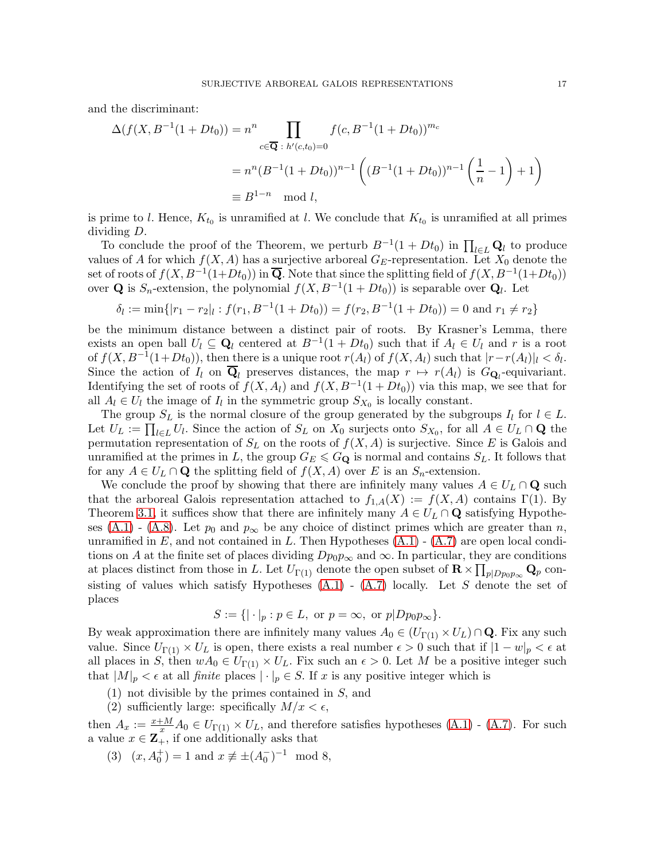and the discriminant:

$$
\Delta(f(X, B^{-1}(1+Dt_0)) = n^n \prod_{c \in \overline{Q} \; : \; h'(c, t_0) = 0} f(c, B^{-1}(1+Dt_0))^{m_c}
$$
  
=  $n^n (B^{-1}(1+Dt_0))^{n-1} \left( (B^{-1}(1+Dt_0))^{n-1} \left( \frac{1}{n} - 1 \right) + 1 \right)$   
 $\equiv B^{1-n} \mod l,$ 

is prime to l. Hence,  $K_{t_0}$  is unramified at l. We conclude that  $K_{t_0}$  is unramified at all primes dividing D.

To conclude the proof of the Theorem, we perturb  $B^{-1}(1+Dt_0)$  in  $\prod_{l\in L} \mathbf{Q}_l$  to produce values of A for which  $f(X, A)$  has a surjective arboreal  $G_E$ -representation. Let  $X_0$  denote the set of roots of  $f(X, B^{-1}(1+Dt_0))$  in  $\overline{\mathbf{Q}}$ . Note that since the splitting field of  $f(X, B^{-1}(1+Dt_0))$ over **Q** is  $S_n$ -extension, the polynomial  $f(X, B^{-1}(1 + Dt_0))$  is separable over **Q**<sub>l</sub>. Let

$$
\delta_l := \min\{|r_1 - r_2|_l : f(r_1, B^{-1}(1 + Dt_0)) = f(r_2, B^{-1}(1 + Dt_0)) = 0 \text{ and } r_1 \neq r_2\}
$$

be the minimum distance between a distinct pair of roots. By Krasner's Lemma, there exists an open ball  $U_l \subseteq \mathbf{Q}_l$  centered at  $B^{-1}(1+Dt_0)$  such that if  $A_l \in U_l$  and r is a root of  $f(X, B^{-1}(1+Dt_0))$ , then there is a unique root  $r(A_l)$  of  $f(X, A_l)$  such that  $|r-r(A_l)|_l < \delta_l$ . Since the action of  $I_l$  on  $\mathbf{Q}_l$  preserves distances, the map  $r \mapsto r(A_l)$  is  $G_{\mathbf{Q}_l}$ -equivariant. Identifying the set of roots of  $f(X, A_l)$  and  $f(X, B^{-1}(1 + Dt_0))$  via this map, we see that for all  $A_l \in U_l$  the image of  $I_l$  in the symmetric group  $S_{X_0}$  is locally constant.

The group  $S_L$  is the normal closure of the group generated by the subgroups  $I_l$  for  $l \in L$ . Let  $U_L := \prod_{l \in L} U_l$ . Since the action of  $S_L$  on  $X_0$  surjects onto  $S_{X_0}$ , for all  $A \in U_L \cap \mathbf{Q}$  the permutation representation of  $S_L$  on the roots of  $f(X, A)$  is surjective. Since E is Galois and unramified at the primes in L, the group  $G_E \leqslant G_{\mathbf{Q}}$  is normal and contains  $S_L$ . It follows that for any  $A \in U_L \cap \mathbf{Q}$  the splitting field of  $f(X, A)$  over E is an  $S_n$ -extension.

We conclude the proof by showing that there are infinitely many values  $A \in U_L \cap \mathbf{Q}$  such that the arboreal Galois representation attached to  $f_{1,A}(X) := f(X, A)$  contains  $\Gamma(1)$ . By Theorem [3.1,](#page-4-5) it suffices show that there are infinitely many  $A \in U_L \cap \mathbf{Q}$  satisfying Hypothe-ses [\(A.1\)](#page-4-1) - [\(A.8\)](#page-4-2). Let  $p_0$  and  $p_\infty$  be any choice of distinct primes which are greater than n, unramified in  $E$ , and not contained in  $L$ . Then Hypotheses  $(A.1)$  -  $(A.7)$  are open local conditions on A at the finite set of places dividing  $Dp_0p_\infty$  and  $\infty$ . In particular, they are conditions at places distinct from those in L. Let  $U_{\Gamma(1)}$  denote the open subset of  $\mathbf{R} \times \prod_{p|Dp_0p_{\infty}} \mathbf{Q}_p$  consisting of values which satisfy Hypotheses  $(A.1)$  -  $(A.7)$  locally. Let S denote the set of places

$$
S := \{ |\cdot|_p : p \in L, \text{ or } p = \infty, \text{ or } p | Dp_0 p_\infty \}.
$$

By weak approximation there are infinitely many values  $A_0 \in (U_{\Gamma(1)} \times U_L) \cap \mathbf{Q}$ . Fix any such value. Since  $U_{\Gamma(1)} \times U_L$  is open, there exists a real number  $\epsilon > 0$  such that if  $|1 - w|_p < \epsilon$  at all places in S, then  $wA_0 \in U_{\Gamma(1)} \times U_L$ . Fix such an  $\epsilon > 0$ . Let M be a positive integer such that  $|M|_p < \epsilon$  at all *finite* places  $|\cdot|_p \in S$ . If x is any positive integer which is

- <span id="page-16-1"></span><span id="page-16-0"></span>(1) not divisible by the primes contained in S, and
- (2) sufficiently large: specifically  $M/x < \epsilon$ ,

<span id="page-16-2"></span>then  $A_x := \frac{x+M}{x} A_0 \in U_{\Gamma(1)} \times U_L$ , and therefore satisfies hypotheses  $(A.1)$  -  $(A.7)$ . For such a value  $x \in \mathbf{Z}_{+}$ , if one additionally asks that

(3)  $(x, A_0^+) = 1$  and  $x \not\equiv \pm (A_0^-)^{-1} \mod 8$ ,